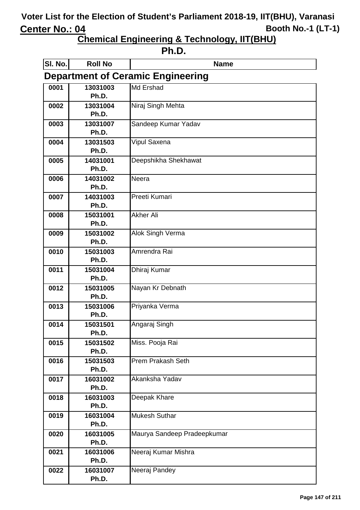| . .<br>ш<br>ı |
|---------------|
|---------------|

| SI. No.                                  | <b>Roll No</b>    | <b>Name</b>                 |  |
|------------------------------------------|-------------------|-----------------------------|--|
| <b>Department of Ceramic Engineering</b> |                   |                             |  |
| 0001                                     | 13031003          | Md Ershad                   |  |
|                                          | Ph.D.             |                             |  |
| 0002                                     | 13031004          | Niraj Singh Mehta           |  |
|                                          | Ph.D.             |                             |  |
| 0003                                     | 13031007          | Sandeep Kumar Yadav         |  |
|                                          | Ph.D.             |                             |  |
| 0004                                     | 13031503          | Vipul Saxena                |  |
|                                          | Ph.D.             |                             |  |
| 0005                                     | 14031001<br>Ph.D. | Deepshikha Shekhawat        |  |
|                                          |                   | Neera                       |  |
| 0006                                     | 14031002<br>Ph.D. |                             |  |
| 0007                                     | 14031003          | Preeti Kumari               |  |
|                                          | Ph.D.             |                             |  |
| 0008                                     | 15031001          | <b>Akher Ali</b>            |  |
|                                          | Ph.D.             |                             |  |
| 0009                                     | 15031002          | Alok Singh Verma            |  |
|                                          | Ph.D.             |                             |  |
| 0010                                     | 15031003          | Amrendra Rai                |  |
|                                          | Ph.D.             |                             |  |
| 0011                                     | 15031004          | Dhiraj Kumar                |  |
|                                          | Ph.D.             |                             |  |
| 0012                                     | 15031005          | Nayan Kr Debnath            |  |
|                                          | Ph.D.             |                             |  |
| 0013                                     | 15031006<br>Ph.D. | Priyanka Verma              |  |
| 0014                                     | 15031501          | Angaraj Singh               |  |
|                                          | Ph.D.             |                             |  |
| 0015                                     | 15031502          | Miss. Pooja Rai             |  |
|                                          | Ph.D.             |                             |  |
| 0016                                     | 15031503          | <b>Prem Prakash Seth</b>    |  |
|                                          | Ph.D.             |                             |  |
| 0017                                     | 16031002          | Akanksha Yadav              |  |
|                                          | Ph.D.             |                             |  |
| 0018                                     | 16031003          | Deepak Khare                |  |
|                                          | Ph.D.             |                             |  |
| 0019                                     | 16031004          | <b>Mukesh Suthar</b>        |  |
|                                          | Ph.D.             |                             |  |
| 0020                                     | 16031005          | Maurya Sandeep Pradeepkumar |  |
|                                          | Ph.D.             |                             |  |
| 0021                                     | 16031006<br>Ph.D. | Neeraj Kumar Mishra         |  |
| 0022                                     | 16031007          | Neeraj Pandey               |  |
|                                          | Ph.D.             |                             |  |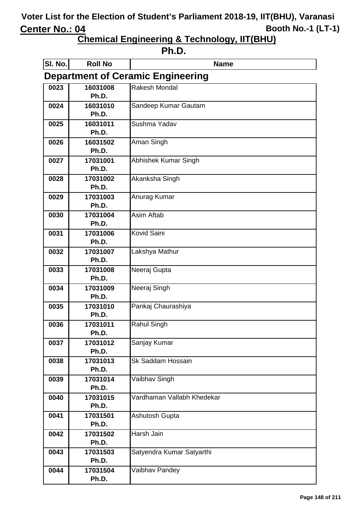| . .<br>ш |
|----------|
|----------|

| SI. No.                                  | <b>Roll No</b>    | <b>Name</b>                |  |
|------------------------------------------|-------------------|----------------------------|--|
| <b>Department of Ceramic Engineering</b> |                   |                            |  |
| 0023                                     | 16031008          | <b>Rakesh Mondal</b>       |  |
|                                          | Ph.D.             |                            |  |
| 0024                                     | 16031010          | Sandeep Kumar Gautam       |  |
|                                          | Ph.D.             |                            |  |
| 0025                                     | 16031011          | Sushma Yadav               |  |
|                                          | Ph.D.             |                            |  |
| 0026                                     | 16031502          | Aman Singh                 |  |
|                                          | Ph.D.             |                            |  |
| 0027                                     | 17031001<br>Ph.D. | Abhishek Kumar Singh       |  |
|                                          | 17031002          | Akanksha Singh             |  |
| 0028                                     | Ph.D.             |                            |  |
| 0029                                     | 17031003          | Anurag Kumar               |  |
|                                          | Ph.D.             |                            |  |
| 0030                                     | 17031004          | Asim Aftab                 |  |
|                                          | Ph.D.             |                            |  |
| 0031                                     | 17031006          | <b>Kovid Saini</b>         |  |
|                                          | Ph.D.             |                            |  |
| 0032                                     | 17031007          | Lakshya Mathur             |  |
|                                          | Ph.D.             |                            |  |
| 0033                                     | 17031008          | Neeraj Gupta               |  |
|                                          | Ph.D.             |                            |  |
| 0034                                     | 17031009          | Neeraj Singh               |  |
|                                          | Ph.D.             |                            |  |
| 0035                                     | 17031010          | Pankaj Chaurashiya         |  |
|                                          | Ph.D.             |                            |  |
| 0036                                     | 17031011<br>Ph.D. | <b>Rahul Singh</b>         |  |
| 0037                                     | 17031012          | Sanjay Kumar               |  |
|                                          | Ph.D.             |                            |  |
| 0038                                     | 17031013          | <b>Sk Saddam Hossain</b>   |  |
|                                          | Ph.D.             |                            |  |
| 0039                                     | 17031014          | Vaibhav Singh              |  |
|                                          | Ph.D.             |                            |  |
| 0040                                     | 17031015          | Vardhaman Vallabh Khedekar |  |
|                                          | Ph.D.             |                            |  |
| 0041                                     | 17031501          | Ashutosh Gupta             |  |
|                                          | Ph.D.             |                            |  |
| 0042                                     | 17031502          | <b>Harsh Jain</b>          |  |
|                                          | Ph.D.             |                            |  |
| 0043                                     | 17031503          | Satyendra Kumar Satyarthi  |  |
|                                          | Ph.D.             |                            |  |
| 0044                                     | 17031504          | Vaibhav Pandey             |  |
|                                          | Ph.D.             |                            |  |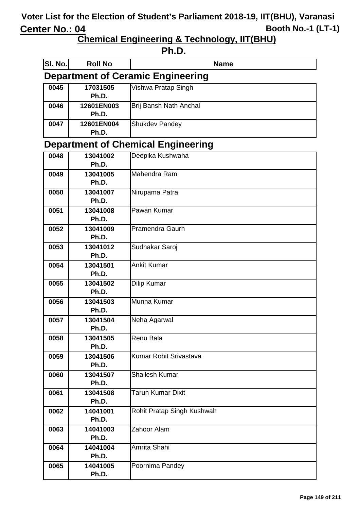| Ph.D.                                     |                                          |                            |  |  |
|-------------------------------------------|------------------------------------------|----------------------------|--|--|
| SI. No.                                   | <b>Roll No</b>                           | <b>Name</b>                |  |  |
|                                           | <b>Department of Ceramic Engineering</b> |                            |  |  |
| 0045                                      | 17031505<br>Ph.D.                        | Vishwa Pratap Singh        |  |  |
| 0046                                      | 12601EN003<br>Ph.D.                      | Brij Bansh Nath Anchal     |  |  |
| 0047                                      | 12601EN004<br>Ph.D.                      | <b>Shukdev Pandey</b>      |  |  |
| <b>Department of Chemical Engineering</b> |                                          |                            |  |  |
| 0048                                      | 13041002<br>Ph.D.                        | Deepika Kushwaha           |  |  |
| 0049                                      | 13041005<br>Ph.D.                        | Mahendra Ram               |  |  |
| 0050                                      | 13041007<br>Ph.D.                        | Nirupama Patra             |  |  |
| 0051                                      | 13041008<br>Ph.D.                        | Pawan Kumar                |  |  |
| 0052                                      | 13041009<br>Ph.D.                        | Pramendra Gaurh            |  |  |
| 0053                                      | 13041012<br>Ph.D.                        | Sudhakar Saroj             |  |  |
| 0054                                      | 13041501<br>Ph.D.                        | <b>Ankit Kumar</b>         |  |  |
| 0055                                      | 13041502<br>Ph.D.                        | Dilip Kumar                |  |  |
| 0056                                      | 13041503<br>Ph.D.                        | Munna Kumar                |  |  |
| 0057                                      | 13041504<br>Ph.D.                        | Neha Agarwal               |  |  |
| 0058                                      | 13041505<br>Ph.D.                        | Renu Bala                  |  |  |
| 0059                                      | 13041506<br>Ph.D.                        | Kumar Rohit Srivastava     |  |  |
| 0060                                      | 13041507<br>Ph.D.                        | <b>Shailesh Kumar</b>      |  |  |
| 0061                                      | 13041508<br>Ph.D.                        | <b>Tarun Kumar Dixit</b>   |  |  |
| 0062                                      | 14041001<br>Ph.D.                        | Rohit Pratap Singh Kushwah |  |  |
| 0063                                      | 14041003<br>Ph.D.                        | Zahoor Alam                |  |  |
| 0064                                      | 14041004<br>Ph.D.                        | Amrita Shahi               |  |  |
| 0065                                      | 14041005<br>Ph.D.                        | Poornima Pandey            |  |  |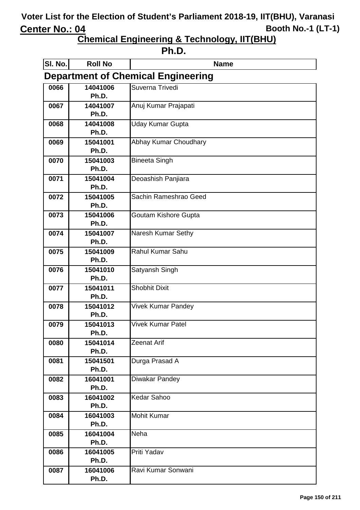| ╻<br>ш |
|--------|
|--------|

| SI. No.                                   | <b>Roll No</b>    | <b>Name</b>                 |  |
|-------------------------------------------|-------------------|-----------------------------|--|
| <b>Department of Chemical Engineering</b> |                   |                             |  |
| 0066                                      | 14041006          | Suverna Trivedi             |  |
|                                           | Ph.D.             |                             |  |
| 0067                                      | 14041007          | Anuj Kumar Prajapati        |  |
|                                           | Ph.D.             |                             |  |
| 0068                                      | 14041008          | <b>Uday Kumar Gupta</b>     |  |
|                                           | Ph.D.             |                             |  |
| 0069                                      | 15041001          | Abhay Kumar Choudhary       |  |
|                                           | Ph.D.             |                             |  |
| 0070                                      | 15041003          | <b>Bineeta Singh</b>        |  |
|                                           | Ph.D.             |                             |  |
| 0071                                      | 15041004          | Deoashish Panjiara          |  |
|                                           | Ph.D.             |                             |  |
| 0072                                      | 15041005<br>Ph.D. | Sachin Rameshrao Geed       |  |
| 0073                                      | 15041006          | <b>Goutam Kishore Gupta</b> |  |
|                                           | Ph.D.             |                             |  |
| 0074                                      | 15041007          | Naresh Kumar Sethy          |  |
|                                           | Ph.D.             |                             |  |
| 0075                                      | 15041009          | Rahul Kumar Sahu            |  |
|                                           | Ph.D.             |                             |  |
| 0076                                      | 15041010          | Satyansh Singh              |  |
|                                           | Ph.D.             |                             |  |
| 0077                                      | 15041011          | <b>Shobhit Dixit</b>        |  |
|                                           | Ph.D.             |                             |  |
| 0078                                      | 15041012          | <b>Vivek Kumar Pandey</b>   |  |
|                                           | Ph.D.             |                             |  |
| 0079                                      | 15041013          | <b>Vivek Kumar Patel</b>    |  |
|                                           | Ph.D.             |                             |  |
| 0080                                      | 15041014          | Zeenat Arif                 |  |
| 0081                                      | Ph.D.<br>15041501 |                             |  |
|                                           | Ph.D.             | Durga Prasad A              |  |
| 0082                                      | 16041001          | Diwakar Pandey              |  |
|                                           | Ph.D.             |                             |  |
| 0083                                      | 16041002          | <b>Kedar Sahoo</b>          |  |
|                                           | Ph.D.             |                             |  |
| 0084                                      | 16041003          | <b>Mohit Kumar</b>          |  |
|                                           | Ph.D.             |                             |  |
| 0085                                      | 16041004          | <b>Neha</b>                 |  |
|                                           | Ph.D.             |                             |  |
| 0086                                      | 16041005          | Priti Yadav                 |  |
|                                           | Ph.D.             |                             |  |
| 0087                                      | 16041006          | Ravi Kumar Sonwani          |  |
|                                           | Ph.D.             |                             |  |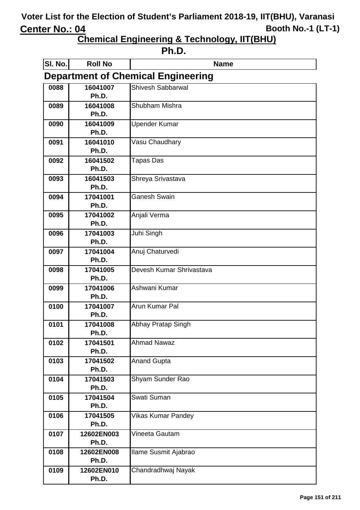| . .<br>٠ |
|----------|
|----------|

| SI. No.                                   | <b>Roll No</b>      | <b>Name</b>              |  |
|-------------------------------------------|---------------------|--------------------------|--|
| <b>Department of Chemical Engineering</b> |                     |                          |  |
| 0088                                      | 16041007            | Shivesh Sabbarwal        |  |
|                                           | Ph.D.               |                          |  |
| 0089                                      | 16041008<br>Ph.D.   | Shubham Mishra           |  |
| 0090                                      | 16041009            | <b>Upender Kumar</b>     |  |
|                                           | Ph.D.               |                          |  |
| 0091                                      | 16041010            | Vasu Chaudhary           |  |
|                                           | Ph.D.               |                          |  |
| 0092                                      | 16041502            | Tapas Das                |  |
|                                           | Ph.D.               |                          |  |
| 0093                                      | 16041503            | Shreya Srivastava        |  |
|                                           | Ph.D.               |                          |  |
| 0094                                      | 17041001<br>Ph.D.   | <b>Ganesh Swain</b>      |  |
| 0095                                      | 17041002            | Anjali Verma             |  |
|                                           | Ph.D.               |                          |  |
| 0096                                      | 17041003            | Juhi Singh               |  |
|                                           | Ph.D.               |                          |  |
| 0097                                      | 17041004            | Anuj Chaturvedi          |  |
|                                           | Ph.D.               |                          |  |
| 0098                                      | 17041005            | Devesh Kumar Shrivastava |  |
|                                           | Ph.D.<br>17041006   | Ashwani Kumar            |  |
| 0099                                      | Ph.D.               |                          |  |
| 0100                                      | 17041007            | Arun Kumar Pal           |  |
|                                           | Ph.D.               |                          |  |
| 0101                                      | 17041008            | Abhay Pratap Singh       |  |
|                                           | Ph.D.               |                          |  |
| 0102                                      | 17041501            | <b>Ahmad Nawaz</b>       |  |
|                                           | Ph.D.               |                          |  |
| 0103                                      | 17041502<br>Ph.D.   | <b>Anand Gupta</b>       |  |
| 0104                                      | 17041503            | Shyam Sunder Rao         |  |
|                                           | Ph.D.               |                          |  |
| 0105                                      | 17041504            | Swati Suman              |  |
|                                           | Ph.D.               |                          |  |
| 0106                                      | 17041505            | Vikas Kumar Pandey       |  |
|                                           | Ph.D.               |                          |  |
| 0107                                      | 12602EN003          | Vineeta Gautam           |  |
|                                           | Ph.D.               |                          |  |
| 0108                                      | 12602EN008<br>Ph.D. | Ilame Susmit Ajabrao     |  |
| 0109                                      | 12602EN010          | Chandradhwaj Nayak       |  |
|                                           | Ph.D.               |                          |  |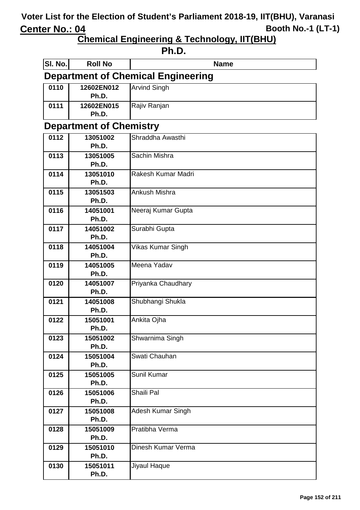**Chemical Engineering & Technology, IIT(BHU)**

#### **Ph.D.**

| SI. No.                                   | <b>Roll No</b>                 | <b>Name</b>         |  |  |  |
|-------------------------------------------|--------------------------------|---------------------|--|--|--|
| <b>Department of Chemical Engineering</b> |                                |                     |  |  |  |
| 0110                                      | 12602EN012<br>Ph.D.            | <b>Arvind Singh</b> |  |  |  |
| 0111                                      | 12602EN015<br>Ph.D.            | Rajiv Ranjan        |  |  |  |
|                                           | <b>Department of Chemistry</b> |                     |  |  |  |
| 0112                                      | 13051002                       | Shraddha Awasthi    |  |  |  |
|                                           | Ph.D.                          |                     |  |  |  |
| 0113                                      | 13051005                       | Sachin Mishra       |  |  |  |
|                                           | Ph.D.                          |                     |  |  |  |
| 0114                                      | 13051010                       | Rakesh Kumar Madri  |  |  |  |
|                                           | Ph.D.                          |                     |  |  |  |
| 0115                                      | 13051503                       | Ankush Mishra       |  |  |  |
|                                           | Ph.D.                          |                     |  |  |  |
| 0116                                      | 14051001<br>Ph.D.              | Neeraj Kumar Gupta  |  |  |  |
| 0117                                      | 14051002                       | Surabhi Gupta       |  |  |  |
|                                           | Ph.D.                          |                     |  |  |  |
| 0118                                      | 14051004                       | Vikas Kumar Singh   |  |  |  |
|                                           | Ph.D.                          |                     |  |  |  |
| 0119                                      | 14051005                       | Meena Yadav         |  |  |  |
|                                           | Ph.D.                          |                     |  |  |  |
| 0120                                      | 14051007                       | Priyanka Chaudhary  |  |  |  |
|                                           | Ph.D.                          |                     |  |  |  |
| 0121                                      | 14051008                       | Shubhangi Shukla    |  |  |  |
|                                           | Ph.D.                          |                     |  |  |  |
| 0122                                      | 15051001<br>Ph.D.              | Ankita Ojha         |  |  |  |
| 0123                                      | 15051002                       | Shwarnima Singh     |  |  |  |
|                                           | Ph.D.                          |                     |  |  |  |
| 0124                                      | 15051004                       | Swati Chauhan       |  |  |  |
|                                           | Ph.D.                          |                     |  |  |  |
| 0125                                      | 15051005                       | Sunil Kumar         |  |  |  |
|                                           | Ph.D.                          |                     |  |  |  |
| 0126                                      | 15051006                       | Shaili Pal          |  |  |  |
|                                           | Ph.D.                          |                     |  |  |  |
| 0127                                      | 15051008                       | Adesh Kumar Singh   |  |  |  |
|                                           | Ph.D.                          |                     |  |  |  |
| 0128                                      | 15051009                       | Pratibha Verma      |  |  |  |
|                                           | Ph.D.                          |                     |  |  |  |
| 0129                                      | 15051010                       | Dinesh Kumar Verma  |  |  |  |
| 0130                                      | Ph.D.                          | Jiyaul Haque        |  |  |  |
|                                           | 15051011<br>Ph.D.              |                     |  |  |  |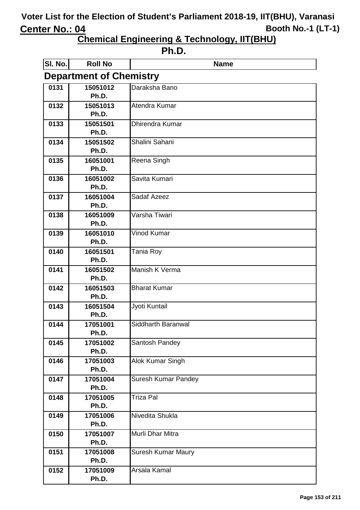| . .<br>ш |
|----------|
|----------|

| SI. No.                        | <b>Roll No</b>    | <b>Name</b>                |  |
|--------------------------------|-------------------|----------------------------|--|
| <b>Department of Chemistry</b> |                   |                            |  |
| 0131                           | 15051012          | Daraksha Bano              |  |
|                                | Ph.D.             |                            |  |
| 0132                           | 15051013          | Atendra Kumar              |  |
|                                | Ph.D.             |                            |  |
| 0133                           | 15051501          | <b>Dhirendra Kumar</b>     |  |
|                                | Ph.D.             | Shalini Sahani             |  |
| 0134                           | 15051502<br>Ph.D. |                            |  |
| 0135                           | 16051001          | Reena Singh                |  |
|                                | Ph.D.             |                            |  |
| 0136                           | 16051002          | Savita Kumari              |  |
|                                | Ph.D.             |                            |  |
| 0137                           | 16051004          | Sadaf Azeez                |  |
|                                | Ph.D.             |                            |  |
| 0138                           | 16051009          | Varsha Tiwari              |  |
|                                | Ph.D.             |                            |  |
| 0139                           | 16051010          | Vinod Kumar                |  |
|                                | Ph.D.             |                            |  |
| 0140                           | 16051501          | Tania Roy                  |  |
|                                | Ph.D.             |                            |  |
| 0141                           | 16051502          | Manish K Verma             |  |
|                                | Ph.D.             |                            |  |
| 0142                           | 16051503<br>Ph.D. | <b>Bharat Kumar</b>        |  |
| 0143                           | 16051504          | Jyoti Kuntail              |  |
|                                | Ph.D.             |                            |  |
| 0144                           | 17051001          | Siddharth Baranwal         |  |
|                                | Ph.D.             |                            |  |
| 0145                           | 17051002          | Santosh Pandey             |  |
|                                | Ph.D.             |                            |  |
| 0146                           | 17051003          | Alok Kumar Singh           |  |
|                                | Ph.D.             |                            |  |
| 0147                           | 17051004          | <b>Suresh Kumar Pandey</b> |  |
|                                | Ph.D.             |                            |  |
| 0148                           | 17051005          | Triza Pal                  |  |
|                                | Ph.D.             |                            |  |
| 0149                           | 17051006          | Nivedita Shukla            |  |
|                                | Ph.D.             | Murli Dhar Mitra           |  |
| 0150                           | 17051007<br>Ph.D. |                            |  |
| 0151                           | 17051008          | Suresh Kumar Maury         |  |
|                                | Ph.D.             |                            |  |
| 0152                           | 17051009          | Arsala Kamal               |  |
|                                | Ph.D.             |                            |  |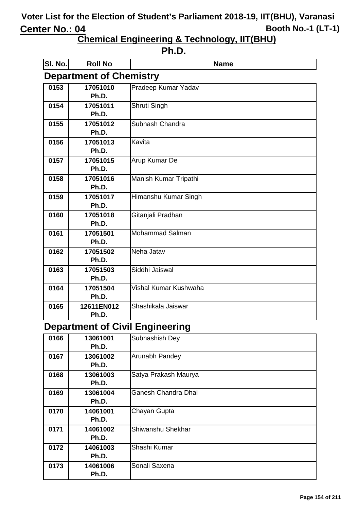**Chemical Engineering & Technology, IIT(BHU)**

#### **Ph.D.**

| SI. No.                        | <b>Roll No</b> | <b>Name</b>           |
|--------------------------------|----------------|-----------------------|
| <b>Department of Chemistry</b> |                |                       |
| 0153                           | 17051010       | Pradeep Kumar Yadav   |
|                                | Ph.D.          |                       |
| 0154                           | 17051011       | Shruti Singh          |
|                                | Ph.D.          |                       |
| 0155                           | 17051012       | Subhash Chandra       |
|                                | Ph.D.          |                       |
| 0156                           | 17051013       | Kavita                |
|                                | Ph.D.          |                       |
| 0157                           | 17051015       | Arup Kumar De         |
|                                | Ph.D.          |                       |
| 0158                           | 17051016       | Manish Kumar Tripathi |
|                                | Ph.D.          |                       |
| 0159                           | 17051017       | Himanshu Kumar Singh  |
|                                | Ph.D.          |                       |
| 0160                           | 17051018       | Gitanjali Pradhan     |
|                                | Ph.D.          |                       |
| 0161                           | 17051501       | Mohammad Salman       |
|                                | Ph.D.          |                       |
| 0162                           | 17051502       | Neha Jatav            |
|                                | Ph.D.          |                       |
| 0163                           | 17051503       | Siddhi Jaiswal        |
|                                | Ph.D.          |                       |
| 0164                           | 17051504       | Vishal Kumar Kushwaha |
|                                | Ph.D.          |                       |
| 0165                           | 12611EN012     | Shashikala Jaiswar    |
|                                | Ph.D.          |                       |

#### **Department of Civil Engineering**

| 0166 | 13061001 | Subhashish Dey             |
|------|----------|----------------------------|
|      | Ph.D.    |                            |
| 0167 | 13061002 | Arunabh Pandey             |
|      | Ph.D.    |                            |
| 0168 | 13061003 | Satya Prakash Maurya       |
|      | Ph.D.    |                            |
| 0169 | 13061004 | <b>Ganesh Chandra Dhal</b> |
|      | Ph.D.    |                            |
| 0170 | 14061001 | Chayan Gupta               |
|      | Ph.D.    |                            |
| 0171 | 14061002 | Shiwanshu Shekhar          |
|      | Ph.D.    |                            |
| 0172 | 14061003 | Shashi Kumar               |
|      | Ph.D.    |                            |
| 0173 | 14061006 | Sonali Saxena              |
|      | Ph.D.    |                            |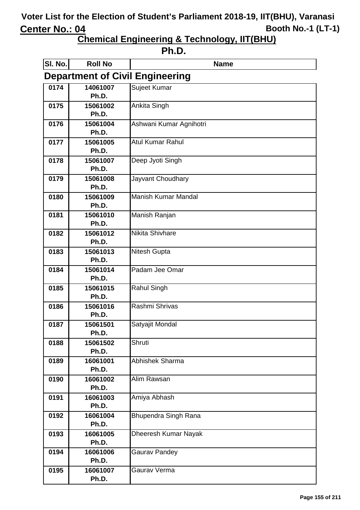| . .<br>٠ |
|----------|
|----------|

| SI. No.                                | <b>Roll No</b>    | <b>Name</b>             |  |
|----------------------------------------|-------------------|-------------------------|--|
| <b>Department of Civil Engineering</b> |                   |                         |  |
| 0174                                   | 14061007          | Sujeet Kumar            |  |
|                                        | Ph.D.             |                         |  |
| 0175                                   | 15061002          | Ankita Singh            |  |
|                                        | Ph.D.             |                         |  |
| 0176                                   | 15061004<br>Ph.D. | Ashwani Kumar Agnihotri |  |
| 0177                                   | 15061005          | <b>Atul Kumar Rahul</b> |  |
|                                        | Ph.D.             |                         |  |
| 0178                                   | 15061007          | Deep Jyoti Singh        |  |
|                                        | Ph.D.             |                         |  |
| 0179                                   | 15061008          | Jayvant Choudhary       |  |
|                                        | Ph.D.             |                         |  |
| 0180                                   | 15061009<br>Ph.D. | Manish Kumar Mandal     |  |
| 0181                                   | 15061010          | Manish Ranjan           |  |
|                                        | Ph.D.             |                         |  |
| 0182                                   | 15061012          | <b>Nikita Shivhare</b>  |  |
|                                        | Ph.D.             |                         |  |
| 0183                                   | 15061013          | Nitesh Gupta            |  |
|                                        | Ph.D.             |                         |  |
| 0184                                   | 15061014          | Padam Jee Omar          |  |
|                                        | Ph.D.             |                         |  |
| 0185                                   | 15061015<br>Ph.D. | Rahul Singh             |  |
| 0186                                   | 15061016          | Rashmi Shrivas          |  |
|                                        | Ph.D.             |                         |  |
| 0187                                   | 15061501          | Satyajit Mondal         |  |
|                                        | Ph.D.             |                         |  |
| 0188                                   | 15061502          | Shruti                  |  |
|                                        | Ph.D.             |                         |  |
| 0189                                   | 16061001          | <b>Abhishek Sharma</b>  |  |
|                                        | Ph.D.             |                         |  |
| 0190                                   | 16061002<br>Ph.D. | Alim Rawsan             |  |
| 0191                                   | 16061003          | Amiya Abhash            |  |
|                                        | Ph.D.             |                         |  |
| 0192                                   | 16061004          | Bhupendra Singh Rana    |  |
|                                        | Ph.D.             |                         |  |
| 0193                                   | 16061005          | Dheeresh Kumar Nayak    |  |
|                                        | Ph.D.             |                         |  |
| 0194                                   | 16061006          | <b>Gaurav Pandey</b>    |  |
|                                        | Ph.D.             |                         |  |
| 0195                                   | 16061007<br>Ph.D. | Gaurav Verma            |  |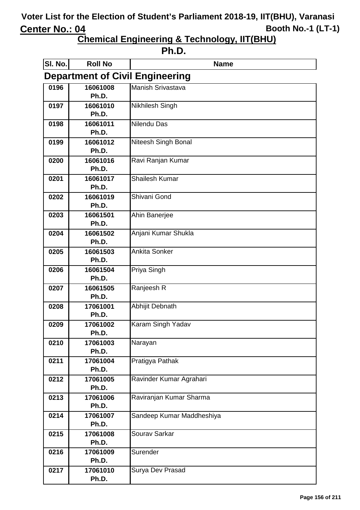| ιг<br>٠<br>ı<br>ı |
|-------------------|
|-------------------|

| SI. No.                                | <b>Roll No</b>    | <b>Name</b>               |  |
|----------------------------------------|-------------------|---------------------------|--|
| <b>Department of Civil Engineering</b> |                   |                           |  |
| 0196                                   | 16061008          | Manish Srivastava         |  |
|                                        | Ph.D.             |                           |  |
| 0197                                   | 16061010<br>Ph.D. | Nikhilesh Singh           |  |
| 0198                                   | 16061011          | Nilendu Das               |  |
|                                        | Ph.D.             |                           |  |
| 0199                                   | 16061012          | Niteesh Singh Bonal       |  |
|                                        | Ph.D.             |                           |  |
| 0200                                   | 16061016<br>Ph.D. | Ravi Ranjan Kumar         |  |
| 0201                                   | 16061017          | <b>Shailesh Kumar</b>     |  |
|                                        | Ph.D.             |                           |  |
| 0202                                   | 16061019<br>Ph.D. | Shivani Gond              |  |
| 0203                                   | 16061501          | Ahin Banerjee             |  |
|                                        | Ph.D.             |                           |  |
| 0204                                   | 16061502          | Anjani Kumar Shukla       |  |
|                                        | Ph.D.             |                           |  |
| 0205                                   | 16061503          | <b>Ankita Sonker</b>      |  |
|                                        | Ph.D.             |                           |  |
| 0206                                   | 16061504<br>Ph.D. | Priya Singh               |  |
| 0207                                   | 16061505          | Ranjeesh R                |  |
|                                        | Ph.D.             |                           |  |
| 0208                                   | 17061001          | Abhijit Debnath           |  |
|                                        | Ph.D.             |                           |  |
| 0209                                   | 17061002          | Karam Singh Yadav         |  |
|                                        | Ph.D.             |                           |  |
| 0210                                   | 17061003<br>Ph.D. | Narayan                   |  |
| 0211                                   | 17061004          | Pratigya Pathak           |  |
|                                        | Ph.D.             |                           |  |
| 0212                                   | 17061005          | Ravinder Kumar Agrahari   |  |
|                                        | Ph.D.             |                           |  |
| 0213                                   | 17061006<br>Ph.D. | Raviranjan Kumar Sharma   |  |
| 0214                                   | 17061007          | Sandeep Kumar Maddheshiya |  |
|                                        | Ph.D.             |                           |  |
| 0215                                   | 17061008          | Sourav Sarkar             |  |
|                                        | Ph.D.             |                           |  |
| 0216                                   | 17061009          | Surender                  |  |
|                                        | Ph.D.             |                           |  |
| 0217                                   | 17061010<br>Ph.D. | Surya Dev Prasad          |  |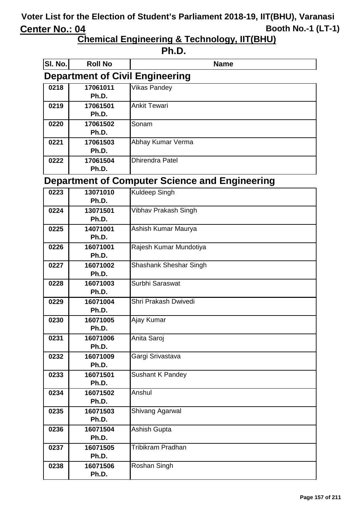**Chemical Engineering & Technology, IIT(BHU)**

#### **Ph.D.**

| SI. No.                                               | <b>Roll No</b>    | <b>Name</b>              |
|-------------------------------------------------------|-------------------|--------------------------|
| <b>Department of Civil Engineering</b>                |                   |                          |
| 0218                                                  | 17061011          | <b>Vikas Pandey</b>      |
|                                                       | Ph.D.             |                          |
| 0219                                                  | 17061501          | <b>Ankit Tewari</b>      |
|                                                       | Ph.D.             |                          |
| 0220                                                  | 17061502          | Sonam                    |
|                                                       | Ph.D.             |                          |
| 0221                                                  | 17061503<br>Ph.D. | Abhay Kumar Verma        |
| 0222                                                  | 17061504          | <b>Dhirendra Patel</b>   |
|                                                       | Ph.D.             |                          |
| <b>Department of Computer Science and Engineering</b> |                   |                          |
| 0223                                                  | 13071010          | Kuldeep Singh            |
|                                                       | Ph.D.             |                          |
| 0224                                                  | 13071501          | Vibhav Prakash Singh     |
|                                                       | Ph.D.             |                          |
| 0225                                                  | 14071001          | Ashish Kumar Maurya      |
|                                                       | Ph.D.             |                          |
| 0226                                                  | 16071001          | Rajesh Kumar Mundotiya   |
|                                                       | Ph.D.             |                          |
| 0227                                                  | 16071002          | Shashank Sheshar Singh   |
|                                                       | Ph.D.             |                          |
| 0228                                                  | 16071003<br>Ph.D. | Surbhi Saraswat          |
| 0229                                                  | 16071004          | Shri Prakash Dwivedi     |
|                                                       | Ph.D.             |                          |
| 0230                                                  | 16071005          | Ajay Kumar               |
|                                                       | Ph.D.             |                          |
| 0231                                                  | 16071006          | Anita Saroj              |
|                                                       | Ph.D.             |                          |
| 0232                                                  | 16071009          | Gargi Srivastava         |
|                                                       | Ph.D.             |                          |
| 0233                                                  | 16071501<br>Ph.D. | Sushant K Pandey         |
| 0234                                                  | 16071502          | Anshul                   |
|                                                       | Ph.D.             |                          |
| 0235                                                  | 16071503          | Shivang Agarwal          |
|                                                       | Ph.D.             |                          |
| 0236                                                  | 16071504          | Ashish Gupta             |
|                                                       | Ph.D.             |                          |
| 0237                                                  | 16071505          | <b>Tribikram Pradhan</b> |
|                                                       | Ph.D.             |                          |
| 0238                                                  | 16071506          | Roshan Singh             |
|                                                       | Ph.D.             |                          |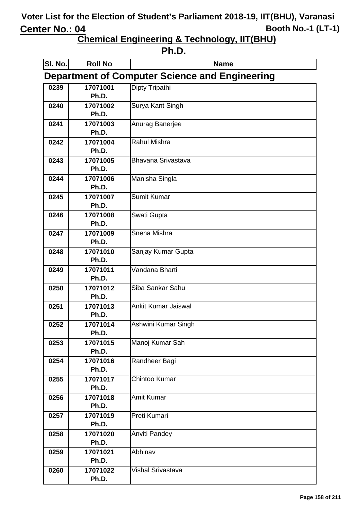**Chemical Engineering & Technology, IIT(BHU)**

**Ph.D.**

| SI. No.                                               | <b>Roll No</b>    | <b>Name</b>              |
|-------------------------------------------------------|-------------------|--------------------------|
| <b>Department of Computer Science and Engineering</b> |                   |                          |
| 0239                                                  | 17071001          | Dipty Tripathi           |
|                                                       | Ph.D.             |                          |
| 0240                                                  | 17071002          | Surya Kant Singh         |
|                                                       | Ph.D.             |                          |
| 0241                                                  | 17071003          | Anurag Banerjee          |
|                                                       | Ph.D.             |                          |
| 0242                                                  | 17071004          | <b>Rahul Mishra</b>      |
|                                                       | Ph.D.             |                          |
| 0243                                                  | 17071005          | Bhavana Srivastava       |
|                                                       | Ph.D.             |                          |
| 0244                                                  | 17071006          | Manisha Singla           |
|                                                       | Ph.D.             |                          |
| 0245                                                  | 17071007<br>Ph.D. | Sumit Kumar              |
| 0246                                                  | 17071008          | Swati Gupta              |
|                                                       | Ph.D.             |                          |
| 0247                                                  | 17071009          | Sneha Mishra             |
|                                                       | Ph.D.             |                          |
| 0248                                                  | 17071010          | Sanjay Kumar Gupta       |
|                                                       | Ph.D.             |                          |
| 0249                                                  | 17071011          | Vandana Bharti           |
|                                                       | Ph.D.             |                          |
| 0250                                                  | 17071012          | Siba Sankar Sahu         |
|                                                       | Ph.D.             |                          |
| 0251                                                  | 17071013          | Ankit Kumar Jaiswal      |
|                                                       | Ph.D.             |                          |
| 0252                                                  | 17071014<br>Ph.D. | Ashwini Kumar Singh      |
| 0253                                                  | 17071015          | Manoj Kumar Sah          |
|                                                       | Ph.D.             |                          |
| 0254                                                  | 17071016          | Randheer Bagi            |
|                                                       | Ph.D.             |                          |
| 0255                                                  | 17071017          | Chintoo Kumar            |
|                                                       | Ph.D.             |                          |
| 0256                                                  | 17071018          | <b>Amit Kumar</b>        |
|                                                       | Ph.D.             |                          |
| 0257                                                  | 17071019          | Preti Kumari             |
|                                                       | Ph.D.             |                          |
| 0258                                                  | 17071020          | Anviti Pandey            |
|                                                       | Ph.D.             |                          |
| 0259                                                  | 17071021          | Abhinav                  |
|                                                       | Ph.D.             |                          |
| 0260                                                  | 17071022<br>Ph.D. | <b>Vishal Srivastava</b> |
|                                                       |                   |                          |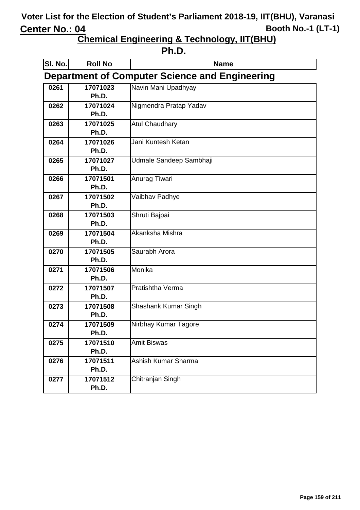| . . |
|-----|
|-----|

| SI. No.                                        | <b>Roll No</b>    | <b>Name</b>             |
|------------------------------------------------|-------------------|-------------------------|
| Department of Computer Science and Engineering |                   |                         |
| 0261                                           | 17071023          | Navin Mani Upadhyay     |
|                                                | Ph.D.             |                         |
| 0262                                           | 17071024          | Nigmendra Pratap Yadav  |
|                                                | Ph.D.             |                         |
| 0263                                           | 17071025          | <b>Atul Chaudhary</b>   |
|                                                | Ph.D.             |                         |
| 0264                                           | 17071026          | Jani Kuntesh Ketan      |
|                                                | Ph.D.             |                         |
| 0265                                           | 17071027          | Udmale Sandeep Sambhaji |
|                                                | Ph.D.             |                         |
| 0266                                           | 17071501          | Anurag Tiwari           |
|                                                | Ph.D.             |                         |
| 0267                                           | 17071502          | Vaibhav Padhye          |
|                                                | Ph.D.             |                         |
| 0268                                           | 17071503          | Shruti Bajpai           |
|                                                | Ph.D.             |                         |
| 0269                                           | 17071504<br>Ph.D. | Akanksha Mishra         |
|                                                |                   | Saurabh Arora           |
| 0270                                           | 17071505<br>Ph.D. |                         |
| 0271                                           | 17071506          | Monika                  |
|                                                | Ph.D.             |                         |
| 0272                                           | 17071507          | Pratishtha Verma        |
|                                                | Ph.D.             |                         |
| 0273                                           | 17071508          | Shashank Kumar Singh    |
|                                                | Ph.D.             |                         |
| 0274                                           | 17071509          | Nirbhay Kumar Tagore    |
|                                                | Ph.D.             |                         |
| 0275                                           | 17071510          | <b>Amit Biswas</b>      |
|                                                | Ph.D.             |                         |
| 0276                                           | 17071511          | Ashish Kumar Sharma     |
|                                                | Ph.D.             |                         |
| 0277                                           | 17071512          | Chitranjan Singh        |
|                                                | Ph.D.             |                         |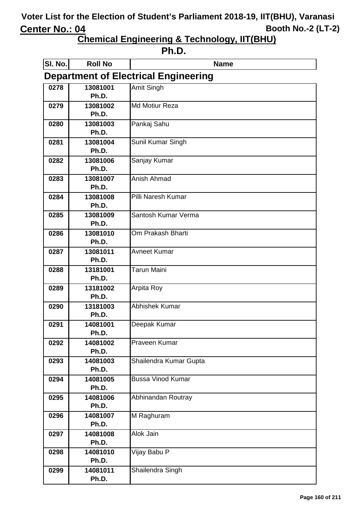| . . | I |
|-----|---|
|-----|---|

| SI. No.                                     | <b>Roll No</b>    | <b>Name</b>              |
|---------------------------------------------|-------------------|--------------------------|
| <b>Department of Electrical Engineering</b> |                   |                          |
| 0278                                        | 13081001          | Amit Singh               |
|                                             | Ph.D.             |                          |
| 0279                                        | 13081002          | <b>Md Motiur Reza</b>    |
|                                             | Ph.D.             |                          |
| 0280                                        | 13081003          | Pankaj Sahu              |
|                                             | Ph.D.             |                          |
| 0281                                        | 13081004<br>Ph.D. | Sunil Kumar Singh        |
| 0282                                        | 13081006          | Sanjay Kumar             |
|                                             | Ph.D.             |                          |
| 0283                                        | 13081007          | Anish Ahmad              |
|                                             | Ph.D.             |                          |
| 0284                                        | 13081008          | Pilli Naresh Kumar       |
|                                             | Ph.D.             |                          |
| 0285                                        | 13081009          | Santosh Kumar Verma      |
|                                             | Ph.D.             |                          |
| 0286                                        | 13081010          | Om Prakash Bharti        |
|                                             | Ph.D.             |                          |
| 0287                                        | 13081011          | <b>Avneet Kumar</b>      |
|                                             | Ph.D.             |                          |
| 0288                                        | 13181001          | Tarun Maini              |
| 0289                                        | Ph.D.             |                          |
|                                             | 13181002<br>Ph.D. | Arpita Roy               |
| 0290                                        | 13181003          | Abhishek Kumar           |
|                                             | Ph.D.             |                          |
| 0291                                        | 14081001          | Deepak Kumar             |
|                                             | Ph.D.             |                          |
| 0292                                        | 14081002          | Praveen Kumar            |
|                                             | Ph.D.             |                          |
| 0293                                        | 14081003          | Shailendra Kumar Gupta   |
|                                             | Ph.D.             |                          |
| 0294                                        | 14081005          | <b>Bussa Vinod Kumar</b> |
|                                             | Ph.D.             |                          |
| 0295                                        | 14081006<br>Ph.D. | Abhinandan Routray       |
| 0296                                        | 14081007          | M Raghuram               |
|                                             | Ph.D.             |                          |
| 0297                                        | 14081008          | Alok Jain                |
|                                             | Ph.D.             |                          |
| 0298                                        | 14081010          | Vijay Babu P             |
|                                             | Ph.D.             |                          |
| 0299                                        | 14081011          | Shailendra Singh         |
|                                             | Ph.D.             |                          |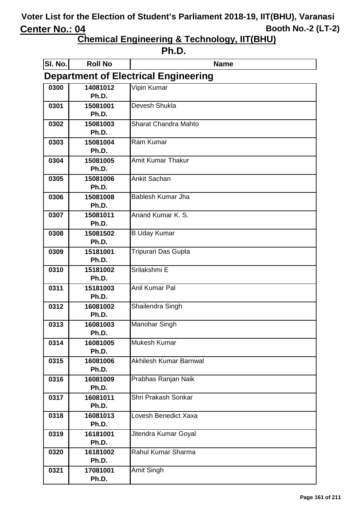| . .<br>٧ |  |
|----------|--|
|----------|--|

| SI. No.                                     | <b>Roll No</b>    | <b>Name</b>            |  |
|---------------------------------------------|-------------------|------------------------|--|
| <b>Department of Electrical Engineering</b> |                   |                        |  |
| 0300                                        | 14081012          | Vipin Kumar            |  |
|                                             | Ph.D.             |                        |  |
| 0301                                        | 15081001          | Devesh Shukla          |  |
|                                             | Ph.D.             |                        |  |
| 0302                                        | 15081003          | Sharat Chandra Mahto   |  |
|                                             | Ph.D.             |                        |  |
| 0303                                        | 15081004          | Ram Kumar              |  |
|                                             | Ph.D.             |                        |  |
| 0304                                        | 15081005<br>Ph.D. | Amit Kumar Thakur      |  |
| 0305                                        | 15081006          | <b>Ankit Sachan</b>    |  |
|                                             | Ph.D.             |                        |  |
| 0306                                        | 15081008          | Bablesh Kumar Jha      |  |
|                                             | Ph.D.             |                        |  |
| 0307                                        | 15081011          | Anand Kumar K. S.      |  |
|                                             | Ph.D.             |                        |  |
| 0308                                        | 15081502          | <b>B Uday Kumar</b>    |  |
|                                             | Ph.D.             |                        |  |
| 0309                                        | 15181001          | Tripurari Das Gupta    |  |
|                                             | Ph.D.             |                        |  |
| 0310                                        | 15181002          | Srilakshmi E           |  |
|                                             | Ph.D.             |                        |  |
| 0311                                        | 15181003          | Anil Kumar Pal         |  |
|                                             | Ph.D.             |                        |  |
| 0312                                        | 16081002<br>Ph.D. | Shailendra Singh       |  |
| 0313                                        | 16081003          | <b>Manohar Singh</b>   |  |
|                                             | Ph.D.             |                        |  |
| 0314                                        | 16081005          | Mukesh Kumar           |  |
|                                             | Ph.D.             |                        |  |
| 0315                                        | 16081006          | Akhilesh Kumar Barnwal |  |
|                                             | Ph.D.             |                        |  |
| 0316                                        | 16081009          | Prabhas Ranjan Naik    |  |
|                                             | Ph.D.             |                        |  |
| 0317                                        | 16081011          | Shri Prakash Sonkar    |  |
|                                             | Ph.D.             |                        |  |
| 0318                                        | 16081013          | Lovesh Benedict Xaxa   |  |
|                                             | Ph.D.             |                        |  |
| 0319                                        | 16181001          | Jitendra Kumar Goyal   |  |
|                                             | Ph.D.             | Rahul Kumar Sharma     |  |
| 0320                                        | 16181002<br>Ph.D. |                        |  |
| 0321                                        | 17081001          | Amit Singh             |  |
|                                             | Ph.D.             |                        |  |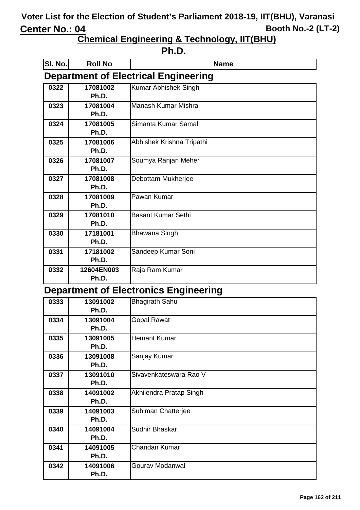**Chemical Engineering & Technology, IIT(BHU)**

| ιг<br>٠<br>ı<br>ı |
|-------------------|
|-------------------|

| SI. No.                               | <b>Roll No</b> | <b>Name</b>                                 |
|---------------------------------------|----------------|---------------------------------------------|
|                                       |                | <b>Department of Electrical Engineering</b> |
| 0322                                  | 17081002       | Kumar Abhishek Singh                        |
|                                       | Ph.D.          |                                             |
| 0323                                  | 17081004       | Manash Kumar Mishra                         |
|                                       | Ph.D.          |                                             |
| 0324                                  | 17081005       | Simanta Kumar Samal                         |
|                                       | Ph.D.          |                                             |
| 0325                                  | 17081006       | Abhishek Krishna Tripathi                   |
|                                       | Ph.D.          |                                             |
| 0326                                  | 17081007       | Soumya Ranjan Meher                         |
|                                       | Ph.D.          |                                             |
| 0327                                  | 17081008       | Debottam Mukherjee                          |
|                                       | Ph.D.          |                                             |
| 0328                                  | 17081009       | Pawan Kumar                                 |
|                                       | Ph.D.          |                                             |
| 0329                                  | 17081010       | <b>Basant Kumar Sethi</b>                   |
|                                       | Ph.D.          |                                             |
| 0330                                  | 17181001       | <b>Bhawana Singh</b>                        |
|                                       | Ph.D.          |                                             |
| 0331                                  | 17181002       | Sandeep Kumar Soni                          |
|                                       | Ph.D.          |                                             |
| 0332                                  | 12604EN003     | Raja Ram Kumar                              |
|                                       | Ph.D.          |                                             |
| Donartmont of Electronics Engineering |                |                                             |

#### **Department of Electronics Engineering**

| 0333 | 13091002 | <b>Bhagirath Sahu</b>   |
|------|----------|-------------------------|
|      | Ph.D.    |                         |
| 0334 | 13091004 | <b>Gopal Rawat</b>      |
|      | Ph.D.    |                         |
| 0335 | 13091005 | <b>Hemant Kumar</b>     |
|      | Ph.D.    |                         |
| 0336 | 13091008 | Sanjay Kumar            |
|      | Ph.D.    |                         |
| 0337 | 13091010 | Sivavenkateswara Rao V  |
|      | Ph.D.    |                         |
| 0338 | 14091002 | Akhilendra Pratap Singh |
|      | Ph.D.    |                         |
| 0339 | 14091003 | Subiman Chatterjee      |
|      | Ph.D.    |                         |
| 0340 | 14091004 | Sudhir Bhaskar          |
|      | Ph.D.    |                         |
| 0341 | 14091005 | Chandan Kumar           |
|      | Ph.D.    |                         |
| 0342 | 14091006 | Gourav Modanwal         |
|      | Ph.D.    |                         |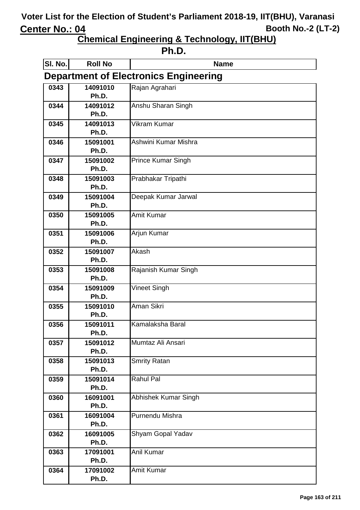| ı<br>. . |
|----------|
|----------|

| SI. No.                                      | <b>Roll No</b>    | <b>Name</b>               |  |
|----------------------------------------------|-------------------|---------------------------|--|
| <b>Department of Electronics Engineering</b> |                   |                           |  |
| 0343                                         | 14091010          | Rajan Agrahari            |  |
|                                              | Ph.D.             |                           |  |
| 0344                                         | 14091012          | Anshu Sharan Singh        |  |
|                                              | Ph.D.             |                           |  |
| 0345                                         | 14091013          | <b>Vikram Kumar</b>       |  |
|                                              | Ph.D.             |                           |  |
| 0346                                         | 15091001          | Ashwini Kumar Mishra      |  |
|                                              | Ph.D.             |                           |  |
| 0347                                         | 15091002          | <b>Prince Kumar Singh</b> |  |
|                                              | Ph.D.             |                           |  |
| 0348                                         | 15091003          | Prabhakar Tripathi        |  |
|                                              | Ph.D.             |                           |  |
| 0349                                         | 15091004<br>Ph.D. | Deepak Kumar Jarwal       |  |
| 0350                                         | 15091005          | <b>Amit Kumar</b>         |  |
|                                              | Ph.D.             |                           |  |
| 0351                                         | 15091006          | Arjun Kumar               |  |
|                                              | Ph.D.             |                           |  |
| 0352                                         | 15091007          | Akash                     |  |
|                                              | Ph.D.             |                           |  |
| 0353                                         | 15091008          | Rajanish Kumar Singh      |  |
|                                              | Ph.D.             |                           |  |
| 0354                                         | 15091009          | <b>Vineet Singh</b>       |  |
|                                              | Ph.D.             |                           |  |
| 0355                                         | 15091010          | Aman Sikri                |  |
|                                              | Ph.D.             |                           |  |
| 0356                                         | 15091011          | Kamalaksha Baral          |  |
|                                              | Ph.D.             |                           |  |
| 0357                                         | 15091012          | Mumtaz Ali Ansari         |  |
|                                              | Ph.D.             |                           |  |
| 0358                                         | 15091013<br>Ph.D. | <b>Smrity Ratan</b>       |  |
| 0359                                         | 15091014          | <b>Rahul Pal</b>          |  |
|                                              | Ph.D.             |                           |  |
| 0360                                         | 16091001          | Abhishek Kumar Singh      |  |
|                                              | Ph.D.             |                           |  |
| 0361                                         | 16091004          | Purnendu Mishra           |  |
|                                              | Ph.D.             |                           |  |
| 0362                                         | 16091005          | Shyam Gopal Yadav         |  |
|                                              | Ph.D.             |                           |  |
| 0363                                         | 17091001          | Anil Kumar                |  |
|                                              | Ph.D.             |                           |  |
| 0364                                         | 17091002          | <b>Amit Kumar</b>         |  |
|                                              | Ph.D.             |                           |  |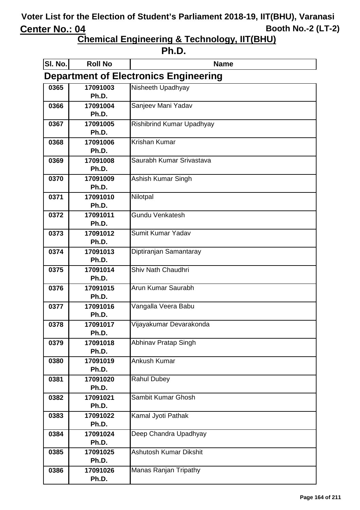| . . |  |
|-----|--|
|-----|--|

| SI. No.                                      | <b>Roll No</b>    | <b>Name</b>                      |  |
|----------------------------------------------|-------------------|----------------------------------|--|
| <b>Department of Electronics Engineering</b> |                   |                                  |  |
| 0365                                         | 17091003          | Nisheeth Upadhyay                |  |
|                                              | Ph.D.             |                                  |  |
| 0366                                         | 17091004          | Sanjeev Mani Yadav               |  |
|                                              | Ph.D.             |                                  |  |
| 0367                                         | 17091005          | <b>Rishibrind Kumar Upadhyay</b> |  |
|                                              | Ph.D.             | <b>Krishan Kumar</b>             |  |
| 0368                                         | 17091006<br>Ph.D. |                                  |  |
| 0369                                         | 17091008          | Saurabh Kumar Srivastava         |  |
|                                              | Ph.D.             |                                  |  |
| 0370                                         | 17091009          | Ashish Kumar Singh               |  |
|                                              | Ph.D.             |                                  |  |
| 0371                                         | 17091010          | Nilotpal                         |  |
|                                              | Ph.D.             |                                  |  |
| 0372                                         | 17091011          | Gundu Venkatesh                  |  |
|                                              | Ph.D.             |                                  |  |
| 0373                                         | 17091012          | Sumit Kumar Yadav                |  |
|                                              | Ph.D.             |                                  |  |
| 0374                                         | 17091013          | Diptiranjan Samantaray           |  |
|                                              | Ph.D.             |                                  |  |
| 0375                                         | 17091014<br>Ph.D. | Shiv Nath Chaudhri               |  |
| 0376                                         | 17091015          | Arun Kumar Saurabh               |  |
|                                              | Ph.D.             |                                  |  |
| 0377                                         | 17091016          | Vangalla Veera Babu              |  |
|                                              | Ph.D.             |                                  |  |
| 0378                                         | 17091017          | Vijayakumar Devarakonda          |  |
|                                              | Ph.D.             |                                  |  |
| 0379                                         | 17091018          | Abhinav Pratap Singh             |  |
|                                              | Ph.D.             |                                  |  |
| 0380                                         | 17091019          | Ankush Kumar                     |  |
|                                              | Ph.D.             |                                  |  |
| 0381                                         | 17091020          | <b>Rahul Dubey</b>               |  |
|                                              | Ph.D.             |                                  |  |
| 0382                                         | 17091021          | Sambit Kumar Ghosh               |  |
|                                              | Ph.D.             |                                  |  |
| 0383                                         | 17091022<br>Ph.D. | Kamal Jyoti Pathak               |  |
| 0384                                         | 17091024          | Deep Chandra Upadhyay            |  |
|                                              | Ph.D.             |                                  |  |
| 0385                                         | 17091025          | Ashutosh Kumar Dikshit           |  |
|                                              | Ph.D.             |                                  |  |
| 0386                                         | 17091026          | Manas Ranjan Tripathy            |  |
|                                              | Ph.D.             |                                  |  |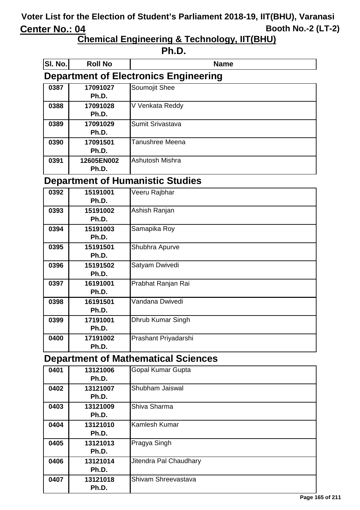**Chemical Engineering & Technology, IIT(BHU)**

| ιг<br>٠<br>ı<br>ı |
|-------------------|
|-------------------|

| SI. No. | <b>Roll No</b>                               | <b>Name</b>      |  |
|---------|----------------------------------------------|------------------|--|
|         | <b>Department of Electronics Engineering</b> |                  |  |
| 0387    | 17091027<br>Ph.D.                            | Soumojit Shee    |  |
| 0388    | 17091028<br>Ph.D.                            | V Venkata Reddy  |  |
| 0389    | 17091029<br>Ph.D.                            | Sumit Srivastava |  |
| 0390    | 17091501<br>Ph.D.                            | Tanushree Meena  |  |
| 0391    | 12605EN002<br>Ph.D.                          | Ashutosh Mishra  |  |

#### **Department of Humanistic Studies**

| 0392 | 15191001<br>Ph.D. | Veeru Rajbhar        |
|------|-------------------|----------------------|
| 0393 | 15191002<br>Ph.D. | Ashish Ranjan        |
| 0394 | 15191003<br>Ph.D. | Samapika Roy         |
| 0395 | 15191501<br>Ph.D. | Shubhra Apurve       |
| 0396 | 15191502<br>Ph.D. | Satyam Dwivedi       |
| 0397 | 16191001<br>Ph.D. | Prabhat Ranjan Rai   |
| 0398 | 16191501<br>Ph.D. | Vandana Dwivedi      |
| 0399 | 17191001<br>Ph.D. | Dhrub Kumar Singh    |
| 0400 | 17191002<br>Ph.D. | Prashant Priyadarshi |

### **Department of Mathematical Sciences**

| 0401 | 13121006 | Gopal Kumar Gupta      |
|------|----------|------------------------|
|      | Ph.D.    |                        |
| 0402 | 13121007 | Shubham Jaiswal        |
|      | Ph.D.    |                        |
| 0403 | 13121009 | Shiva Sharma           |
|      | Ph.D.    |                        |
| 0404 | 13121010 | Kamlesh Kumar          |
|      | Ph.D.    |                        |
| 0405 | 13121013 | Pragya Singh           |
|      | Ph.D.    |                        |
| 0406 | 13121014 | Jitendra Pal Chaudhary |
|      | Ph.D.    |                        |
| 0407 | 13121018 | Shivam Shreevastava    |
|      | Ph.D.    |                        |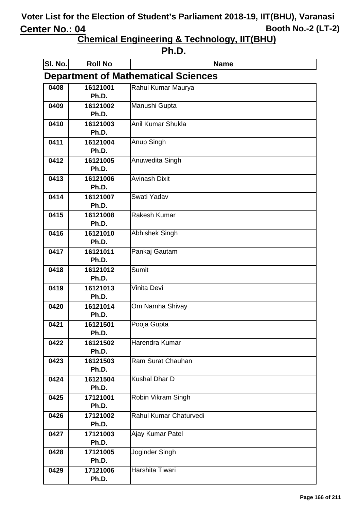| ı<br>. . |  |
|----------|--|
|----------|--|

| SI. No.                                    | <b>Roll No</b>    | <b>Name</b>            |  |
|--------------------------------------------|-------------------|------------------------|--|
| <b>Department of Mathematical Sciences</b> |                   |                        |  |
| 0408                                       | 16121001          | Rahul Kumar Maurya     |  |
|                                            | Ph.D.             |                        |  |
| 0409                                       | 16121002          | Manushi Gupta          |  |
|                                            | Ph.D.             |                        |  |
| 0410                                       | 16121003          | Anil Kumar Shukla      |  |
|                                            | Ph.D.             |                        |  |
| 0411                                       | 16121004<br>Ph.D. | Anup Singh             |  |
| 0412                                       | 16121005          |                        |  |
|                                            | Ph.D.             | Anuwedita Singh        |  |
| 0413                                       | 16121006          | <b>Avinash Dixit</b>   |  |
|                                            | Ph.D.             |                        |  |
| 0414                                       | 16121007          | Swati Yadav            |  |
|                                            | Ph.D.             |                        |  |
| 0415                                       | 16121008          | <b>Rakesh Kumar</b>    |  |
|                                            | Ph.D.             |                        |  |
| 0416                                       | 16121010          | <b>Abhishek Singh</b>  |  |
|                                            | Ph.D.             |                        |  |
| 0417                                       | 16121011          | Pankaj Gautam          |  |
|                                            | Ph.D.             |                        |  |
| 0418                                       | 16121012          | <b>Sumit</b>           |  |
|                                            | Ph.D.             |                        |  |
| 0419                                       | 16121013          | Vinita Devi            |  |
|                                            | Ph.D.             |                        |  |
| 0420                                       | 16121014          | Om Namha Shivay        |  |
|                                            | Ph.D.             |                        |  |
| 0421                                       | 16121501<br>Ph.D. | Pooja Gupta            |  |
| 0422                                       | 16121502          | Harendra Kumar         |  |
|                                            | Ph.D.             |                        |  |
| 0423                                       | 16121503          | Ram Surat Chauhan      |  |
|                                            | Ph.D.             |                        |  |
| 0424                                       | 16121504          | Kushal Dhar D          |  |
|                                            | Ph.D.             |                        |  |
| 0425                                       | 17121001          | Robin Vikram Singh     |  |
|                                            | Ph.D.             |                        |  |
| 0426                                       | 17121002          | Rahul Kumar Chaturvedi |  |
|                                            | Ph.D.             |                        |  |
| 0427                                       | 17121003          | Ajay Kumar Patel       |  |
|                                            | Ph.D.             |                        |  |
| 0428                                       | 17121005          | Joginder Singh         |  |
|                                            | Ph.D.             |                        |  |
| 0429                                       | 17121006          | Harshita Tiwari        |  |
|                                            | Ph.D.             |                        |  |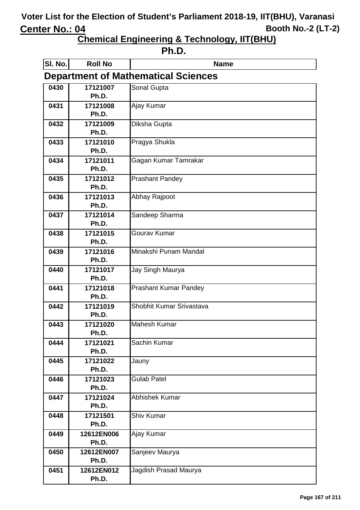| . . |
|-----|
|-----|

| SI. No.                                    | <b>Roll No</b>    | <b>Name</b>                  |  |
|--------------------------------------------|-------------------|------------------------------|--|
| <b>Department of Mathematical Sciences</b> |                   |                              |  |
| 0430                                       | 17121007          | Sonal Gupta                  |  |
|                                            | Ph.D.             |                              |  |
| 0431                                       | 17121008          | Ajay Kumar                   |  |
|                                            | Ph.D.             |                              |  |
| 0432                                       | 17121009          | Diksha Gupta                 |  |
|                                            | Ph.D.             |                              |  |
| 0433                                       | 17121010<br>Ph.D. | Pragya Shukla                |  |
| 0434                                       | 17121011          | Gagan Kumar Tamrakar         |  |
|                                            | Ph.D.             |                              |  |
| 0435                                       | 17121012          | <b>Prashant Pandey</b>       |  |
|                                            | Ph.D.             |                              |  |
| 0436                                       | 17121013          | Abhay Rajpoot                |  |
|                                            | Ph.D.             |                              |  |
| 0437                                       | 17121014          | Sandeep Sharma               |  |
|                                            | Ph.D.             |                              |  |
| 0438                                       | 17121015          | Gourav Kumar                 |  |
|                                            | Ph.D.             |                              |  |
| 0439                                       | 17121016          | Minakshi Punam Mandal        |  |
|                                            | Ph.D.             |                              |  |
| 0440                                       | 17121017          | Jay Singh Maurya             |  |
|                                            | Ph.D.             |                              |  |
| 0441                                       | 17121018<br>Ph.D. | <b>Prashant Kumar Pandey</b> |  |
| 0442                                       | 17121019          | Shobhit Kumar Srivastava     |  |
|                                            | Ph.D.             |                              |  |
| 0443                                       | 17121020          | <b>Mahesh Kumar</b>          |  |
|                                            | Ph.D.             |                              |  |
| 0444                                       | 17121021          | Sachin Kumar                 |  |
|                                            | Ph.D.             |                              |  |
| 0445                                       | 17121022          | Jauny                        |  |
|                                            | Ph.D.             |                              |  |
| 0446                                       | 17121023          | <b>Gulab Patel</b>           |  |
|                                            | Ph.D.             |                              |  |
| 0447                                       | 17121024          | <b>Abhishek Kumar</b>        |  |
|                                            | Ph.D.             |                              |  |
| 0448                                       | 17121501<br>Ph.D. | <b>Shiv Kumar</b>            |  |
| 0449                                       | 12612EN006        | Ajay Kumar                   |  |
|                                            | Ph.D.             |                              |  |
| 0450                                       | 12612EN007        | Sanjeev Maurya               |  |
|                                            | Ph.D.             |                              |  |
| 0451                                       | 12612EN012        | Jagdish Prasad Maurya        |  |
|                                            | Ph.D.             |                              |  |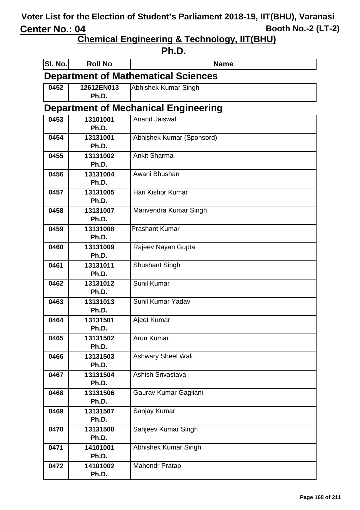**Chemical Engineering & Technology, IIT(BHU)**

#### **Ph.D.**

| SI. No.                                    | <b>Roll No</b>      | <b>Name</b>                                 |  |
|--------------------------------------------|---------------------|---------------------------------------------|--|
| <b>Department of Mathematical Sciences</b> |                     |                                             |  |
| 0452                                       | 12612EN013<br>Ph.D. | Abhishek Kumar Singh                        |  |
|                                            |                     | <b>Department of Mechanical Engineering</b> |  |
| 0453                                       | 13101001            | <b>Anand Jaiswal</b>                        |  |
|                                            | Ph.D.               |                                             |  |
| 0454                                       | 13131001            | Abhishek Kumar (Sponsord)                   |  |
|                                            | Ph.D.               |                                             |  |
| 0455                                       | 13131002            | <b>Ankit Sharma</b>                         |  |
|                                            | Ph.D.               | Awani Bhushan                               |  |
| 0456                                       | 13131004<br>Ph.D.   |                                             |  |
| 0457                                       | 13131005            | Hari Kishor Kumar                           |  |
|                                            | Ph.D.               |                                             |  |
| 0458                                       | 13131007            | Manvendra Kumar Singh                       |  |
|                                            | Ph.D.               |                                             |  |
| 0459                                       | 13131008            | <b>Prashant Kumar</b>                       |  |
|                                            | Ph.D.               |                                             |  |
| 0460                                       | 13131009            | Rajeev Nayan Gupta                          |  |
|                                            | Ph.D.               |                                             |  |
| 0461                                       | 13131011            | <b>Shushant Singh</b>                       |  |
| 0462                                       | Ph.D.<br>13131012   | Sunil Kumar                                 |  |
|                                            | Ph.D.               |                                             |  |
| 0463                                       | 13131013            | Sunil Kumar Yadav                           |  |
|                                            | Ph.D.               |                                             |  |
| 0464                                       | 13131501            | Ajeet Kumar                                 |  |
|                                            | Ph.D.               |                                             |  |
| 0465                                       | 13131502            | Arun Kumar                                  |  |
|                                            | Ph.D.               |                                             |  |
| 0466                                       | 13131503            | <b>Ashwary Sheel Wali</b>                   |  |
|                                            | Ph.D.               |                                             |  |
| 0467                                       | 13131504<br>Ph.D.   | Ashish Srivastava                           |  |
| 0468                                       | 13131506            | Gaurav Kumar Gagliani                       |  |
|                                            | Ph.D.               |                                             |  |
| 0469                                       | 13131507            | Sanjay Kumar                                |  |
|                                            | Ph.D.               |                                             |  |
| 0470                                       | 13131508            | Sanjeev Kumar Singh                         |  |
|                                            | Ph.D.               |                                             |  |
| 0471                                       | 14101001            | Abhishek Kumar Singh                        |  |
|                                            | Ph.D.               |                                             |  |
| 0472                                       | 14101002            | <b>Mahendr Pratap</b>                       |  |
|                                            | Ph.D.               |                                             |  |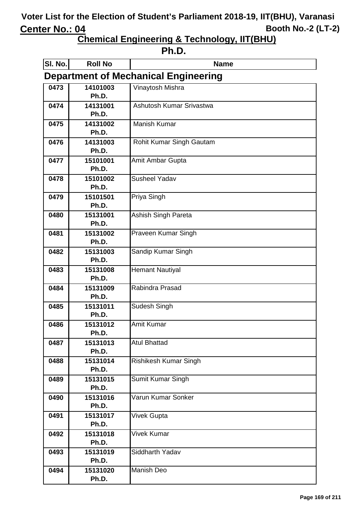| ı<br>L<br>п<br>ı |  |
|------------------|--|
|------------------|--|

| SI. No.                                     | <b>Roll No</b>    | <b>Name</b>              |  |
|---------------------------------------------|-------------------|--------------------------|--|
| <b>Department of Mechanical Engineering</b> |                   |                          |  |
| 0473                                        | 14101003          | Vinaytosh Mishra         |  |
|                                             | Ph.D.             |                          |  |
| 0474                                        | 14131001<br>Ph.D. | Ashutosh Kumar Srivastwa |  |
| 0475                                        | 14131002          | <b>Manish Kumar</b>      |  |
|                                             | Ph.D.             |                          |  |
| 0476                                        | 14131003          | Rohit Kumar Singh Gautam |  |
|                                             | Ph.D.             |                          |  |
| 0477                                        | 15101001          | Amit Ambar Gupta         |  |
|                                             | Ph.D.             |                          |  |
| 0478                                        | 15101002          | <b>Susheel Yadav</b>     |  |
|                                             | Ph.D.             |                          |  |
| 0479                                        | 15101501<br>Ph.D. | Priya Singh              |  |
| 0480                                        | 15131001          | Ashish Singh Pareta      |  |
|                                             | Ph.D.             |                          |  |
| 0481                                        | 15131002          | Praveen Kumar Singh      |  |
|                                             | Ph.D.             |                          |  |
| 0482                                        | 15131003          | Sandip Kumar Singh       |  |
|                                             | Ph.D.             |                          |  |
| 0483                                        | 15131008<br>Ph.D. | Hemant Nautiyal          |  |
| 0484                                        | 15131009          | Rabindra Prasad          |  |
|                                             | Ph.D.             |                          |  |
| 0485                                        | 15131011          | Sudesh Singh             |  |
|                                             | Ph.D.             |                          |  |
| 0486                                        | 15131012          | <b>Amit Kumar</b>        |  |
|                                             | Ph.D.             |                          |  |
| 0487                                        | 15131013          | <b>Atul Bhattad</b>      |  |
| 0488                                        | Ph.D.<br>15131014 | Rishikesh Kumar Singh    |  |
|                                             | Ph.D.             |                          |  |
| 0489                                        | 15131015          | Sumit Kumar Singh        |  |
|                                             | Ph.D.             |                          |  |
| 0490                                        | 15131016          | Varun Kumar Sonker       |  |
|                                             | Ph.D.             |                          |  |
| 0491                                        | 15131017          | Vivek Gupta              |  |
|                                             | Ph.D.             |                          |  |
| 0492                                        | 15131018<br>Ph.D. | Vivek Kumar              |  |
| 0493                                        | 15131019          | Siddharth Yadav          |  |
|                                             | Ph.D.             |                          |  |
| 0494                                        | 15131020          | <b>Manish Deo</b>        |  |
|                                             | Ph.D.             |                          |  |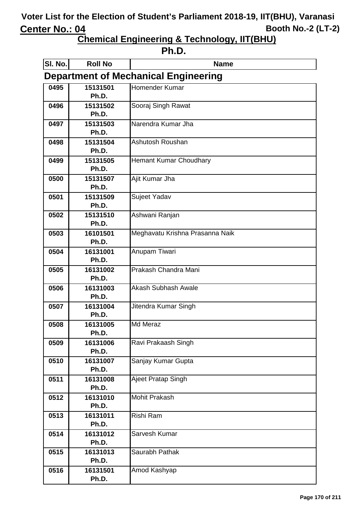| ı<br>L<br>п<br>ı |  |
|------------------|--|
|------------------|--|

| SI. No.                                     | <b>Roll No</b>    | <b>Name</b>                     |  |
|---------------------------------------------|-------------------|---------------------------------|--|
| <b>Department of Mechanical Engineering</b> |                   |                                 |  |
| 0495                                        | 15131501          | Homender Kumar                  |  |
|                                             | Ph.D.             |                                 |  |
| 0496                                        | 15131502          | Sooraj Singh Rawat              |  |
|                                             | Ph.D.             |                                 |  |
| 0497                                        | 15131503          | Narendra Kumar Jha              |  |
|                                             | Ph.D.             |                                 |  |
| 0498                                        | 15131504          | Ashutosh Roushan                |  |
|                                             | Ph.D.             |                                 |  |
| 0499                                        | 15131505<br>Ph.D. | <b>Hemant Kumar Choudhary</b>   |  |
|                                             | 15131507          |                                 |  |
| 0500                                        | Ph.D.             | Ajit Kumar Jha                  |  |
| 0501                                        | 15131509          | Sujeet Yadav                    |  |
|                                             | Ph.D.             |                                 |  |
| 0502                                        | 15131510          | Ashwani Ranjan                  |  |
|                                             | Ph.D.             |                                 |  |
| 0503                                        | 16101501          | Meghavatu Krishna Prasanna Naik |  |
|                                             | Ph.D.             |                                 |  |
| 0504                                        | 16131001          | Anupam Tiwari                   |  |
|                                             | Ph.D.             |                                 |  |
| 0505                                        | 16131002          | Prakash Chandra Mani            |  |
|                                             | Ph.D.             |                                 |  |
| 0506                                        | 16131003          | <b>Akash Subhash Awale</b>      |  |
|                                             | Ph.D.             |                                 |  |
| 0507                                        | 16131004<br>Ph.D. | Jitendra Kumar Singh            |  |
|                                             |                   | <b>Md Meraz</b>                 |  |
| 0508                                        | 16131005<br>Ph.D. |                                 |  |
| 0509                                        | 16131006          | Ravi Prakaash Singh             |  |
|                                             | Ph.D.             |                                 |  |
| 0510                                        | 16131007          | Sanjay Kumar Gupta              |  |
|                                             | Ph.D.             |                                 |  |
| 0511                                        | 16131008          | Ajeet Pratap Singh              |  |
|                                             | Ph.D.             |                                 |  |
| 0512                                        | 16131010          | <b>Mohit Prakash</b>            |  |
|                                             | Ph.D.             |                                 |  |
| 0513                                        | 16131011          | Rishi Ram                       |  |
|                                             | Ph.D.             |                                 |  |
| 0514                                        | 16131012          | Sarvesh Kumar                   |  |
|                                             | Ph.D.             |                                 |  |
| 0515                                        | 16131013<br>Ph.D. | Saurabh Pathak                  |  |
| 0516                                        | 16131501          | Amod Kashyap                    |  |
|                                             | Ph.D.             |                                 |  |
|                                             |                   |                                 |  |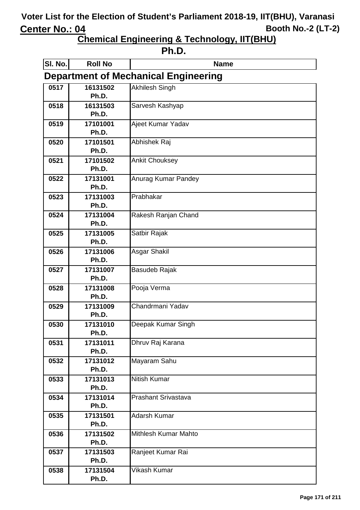| ۰H |
|----|
|----|

| SI. No.                                     | <b>Roll No</b>    | <b>Name</b>                |  |
|---------------------------------------------|-------------------|----------------------------|--|
| <b>Department of Mechanical Engineering</b> |                   |                            |  |
| 0517                                        | 16131502          | <b>Akhilesh Singh</b>      |  |
|                                             | Ph.D.             |                            |  |
| 0518                                        | 16131503          | Sarvesh Kashyap            |  |
|                                             | Ph.D.             |                            |  |
| 0519                                        | 17101001          | Ajeet Kumar Yadav          |  |
|                                             | Ph.D.             |                            |  |
| 0520                                        | 17101501<br>Ph.D. | Abhishek Raj               |  |
|                                             |                   |                            |  |
| 0521                                        | 17101502<br>Ph.D. | <b>Ankit Chouksey</b>      |  |
| 0522                                        | 17131001          | Anurag Kumar Pandey        |  |
|                                             | Ph.D.             |                            |  |
| 0523                                        | 17131003          | Prabhakar                  |  |
|                                             | Ph.D.             |                            |  |
| 0524                                        | 17131004          | Rakesh Ranjan Chand        |  |
|                                             | Ph.D.             |                            |  |
| 0525                                        | 17131005          | Satbir Rajak               |  |
|                                             | Ph.D.             |                            |  |
| 0526                                        | 17131006          | Asgar Shakil               |  |
|                                             | Ph.D.             |                            |  |
| 0527                                        | 17131007          | <b>Basudeb Rajak</b>       |  |
|                                             | Ph.D.             |                            |  |
| 0528                                        | 17131008<br>Ph.D. | Pooja Verma                |  |
| 0529                                        | 17131009          | Chandrmani Yadav           |  |
|                                             | Ph.D.             |                            |  |
| 0530                                        | 17131010          | Deepak Kumar Singh         |  |
|                                             | Ph.D.             |                            |  |
| 0531                                        | 17131011          | Dhruv Raj Karana           |  |
|                                             | Ph.D.             |                            |  |
| 0532                                        | 17131012          | Mayaram Sahu               |  |
|                                             | Ph.D.             |                            |  |
| 0533                                        | 17131013          | <b>Nitish Kumar</b>        |  |
|                                             | Ph.D.             |                            |  |
| 0534                                        | 17131014          | <b>Prashant Srivastava</b> |  |
|                                             | Ph.D.             |                            |  |
| 0535                                        | 17131501          | Adarsh Kumar               |  |
|                                             | Ph.D.             | Mithlesh Kumar Mahto       |  |
| 0536                                        | 17131502<br>Ph.D. |                            |  |
| 0537                                        | 17131503          | Ranjeet Kumar Rai          |  |
|                                             | Ph.D.             |                            |  |
| 0538                                        | 17131504          | Vikash Kumar               |  |
|                                             | Ph.D.             |                            |  |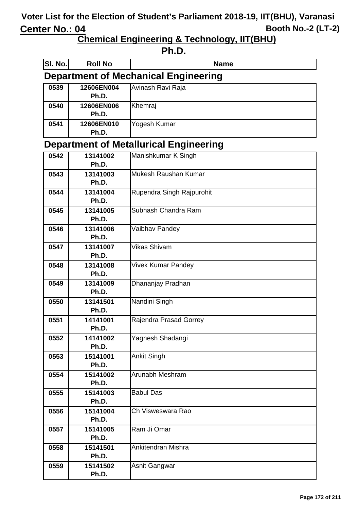| ı<br>٠<br>. .<br>ı |
|--------------------|
|--------------------|

| SI. No.                                     | <b>Roll No</b>                                | <b>Name</b>               |  |  |
|---------------------------------------------|-----------------------------------------------|---------------------------|--|--|
| <b>Department of Mechanical Engineering</b> |                                               |                           |  |  |
| 0539                                        | 12606EN004<br>Ph.D.                           | Avinash Ravi Raja         |  |  |
| 0540                                        | 12606EN006<br>Ph.D.                           | Khemraj                   |  |  |
| 0541                                        | 12606EN010<br>Ph.D.                           | Yogesh Kumar              |  |  |
|                                             | <b>Department of Metallurical Engineering</b> |                           |  |  |
| 0542                                        | 13141002                                      | Manishkumar K Singh       |  |  |
|                                             | Ph.D.                                         |                           |  |  |
| 0543                                        | 13141003<br>Ph.D.                             | Mukesh Raushan Kumar      |  |  |
| 0544                                        | 13141004<br>Ph.D.                             | Rupendra Singh Rajpurohit |  |  |
| 0545                                        | 13141005<br>Ph.D.                             | Subhash Chandra Ram       |  |  |
| 0546                                        | 13141006<br>Ph.D.                             | Vaibhav Pandey            |  |  |
| 0547                                        | 13141007<br>Ph.D.                             | <b>Vikas Shivam</b>       |  |  |
| 0548                                        | 13141008<br>Ph.D.                             | <b>Vivek Kumar Pandey</b> |  |  |
| 0549                                        | 13141009<br>Ph.D.                             | Dhananjay Pradhan         |  |  |
| 0550                                        | 13141501<br>Ph.D.                             | Nandini Singh             |  |  |
| 0551                                        | 14141001<br>Ph.D.                             | Rajendra Prasad Gorrey    |  |  |
| 0552                                        | 14141002<br>Ph.D.                             | Yagnesh Shadangi          |  |  |
| 0553                                        | 15141001<br>Ph.D.                             | Ankit Singh               |  |  |
| 0554                                        | 15141002<br>Ph.D.                             | Arunabh Meshram           |  |  |
| 0555                                        | 15141003<br>Ph.D.                             | <b>Babul Das</b>          |  |  |
| 0556                                        | 15141004<br>Ph.D.                             | Ch Visweswara Rao         |  |  |
| 0557                                        | 15141005<br>Ph.D.                             | Ram Ji Omar               |  |  |
| 0558                                        | 15141501<br>Ph.D.                             | Ankitendran Mishra        |  |  |
| 0559                                        | 15141502<br>Ph.D.                             | Asnit Gangwar             |  |  |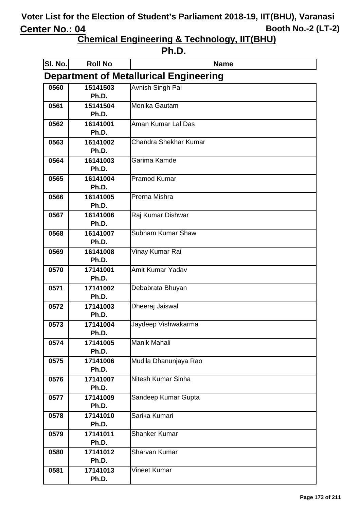| ı<br>. .<br>۱<br>٧ |
|--------------------|
|--------------------|

| SI. No.                                       | <b>Roll No</b>    | <b>Name</b>           |  |
|-----------------------------------------------|-------------------|-----------------------|--|
| <b>Department of Metallurical Engineering</b> |                   |                       |  |
| 0560                                          | 15141503          | Avnish Singh Pal      |  |
|                                               | Ph.D.             |                       |  |
| 0561                                          | 15141504          | Monika Gautam         |  |
|                                               | Ph.D.             |                       |  |
| 0562                                          | 16141001          | Aman Kumar Lal Das    |  |
|                                               | Ph.D.             |                       |  |
| 0563                                          | 16141002          | Chandra Shekhar Kumar |  |
|                                               | Ph.D.             |                       |  |
| 0564                                          | 16141003<br>Ph.D. | Garima Kamde          |  |
| 0565                                          | 16141004          | <b>Pramod Kumar</b>   |  |
|                                               | Ph.D.             |                       |  |
| 0566                                          | 16141005          | Prerna Mishra         |  |
|                                               | Ph.D.             |                       |  |
| 0567                                          | 16141006          | Raj Kumar Dishwar     |  |
|                                               | Ph.D.             |                       |  |
| 0568                                          | 16141007          | Subham Kumar Shaw     |  |
|                                               | Ph.D.             |                       |  |
| 0569                                          | 16141008          | Vinay Kumar Rai       |  |
|                                               | Ph.D.             |                       |  |
| 0570                                          | 17141001          | Amit Kumar Yadav      |  |
|                                               | Ph.D.             |                       |  |
| 0571                                          | 17141002<br>Ph.D. | Debabrata Bhuyan      |  |
| 0572                                          | 17141003          | Dheeraj Jaiswal       |  |
|                                               | Ph.D.             |                       |  |
| 0573                                          | 17141004          | Jaydeep Vishwakarma   |  |
|                                               | Ph.D.             |                       |  |
| 0574                                          | 17141005          | Manik Mahali          |  |
|                                               | Ph.D.             |                       |  |
| 0575                                          | 17141006          | Mudila Dhanunjaya Rao |  |
|                                               | Ph.D.             |                       |  |
| 0576                                          | 17141007          | Nitesh Kumar Sinha    |  |
|                                               | Ph.D.             |                       |  |
| 0577                                          | 17141009          | Sandeep Kumar Gupta   |  |
|                                               | Ph.D.             |                       |  |
| 0578                                          | 17141010          | Sarika Kumari         |  |
|                                               | Ph.D.             |                       |  |
| 0579                                          | 17141011<br>Ph.D. | <b>Shanker Kumar</b>  |  |
| 0580                                          | 17141012          | Sharvan Kumar         |  |
|                                               | Ph.D.             |                       |  |
| 0581                                          | 17141013          | Vineet Kumar          |  |
|                                               | Ph.D.             |                       |  |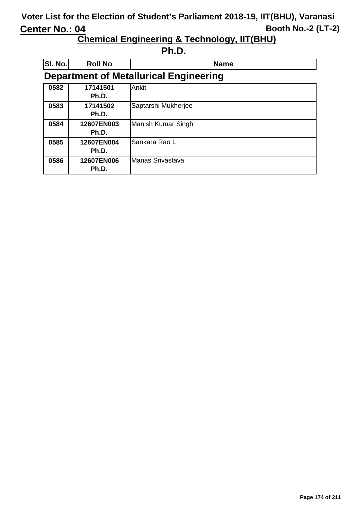**Chemical Engineering & Technology, IIT(BHU)**

**Ph.D.**

| SI. No. | <b>Roll No</b>                                | <b>Name</b>               |  |
|---------|-----------------------------------------------|---------------------------|--|
|         | <b>Department of Metallurical Engineering</b> |                           |  |
| 0582    | 17141501<br>Ph.D.                             | Ankit                     |  |
| 0583    | 17141502<br>Ph.D.                             | Saptarshi Mukherjee       |  |
| 0584    | 12607EN003<br>Ph.D.                           | <b>Manish Kumar Singh</b> |  |
| 0585    | 12607EN004<br>Ph.D.                           | Sankara Rao L             |  |
| 0586    | 12607EN006<br>Ph.D.                           | Manas Srivastava          |  |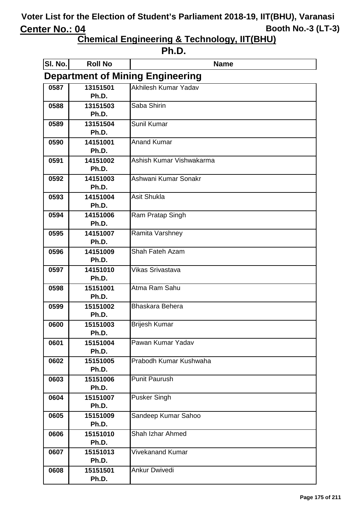| ı<br>L<br>п<br>ı |  |
|------------------|--|
|------------------|--|

| SI. No.                                 | <b>Roll No</b>    | <b>Name</b>              |  |
|-----------------------------------------|-------------------|--------------------------|--|
| <b>Department of Mining Engineering</b> |                   |                          |  |
| 0587                                    | 13151501          | Akhilesh Kumar Yadav     |  |
|                                         | Ph.D.             |                          |  |
| 0588                                    | 13151503          | Saba Shirin              |  |
|                                         | Ph.D.             |                          |  |
| 0589                                    | 13151504<br>Ph.D. | Sunil Kumar              |  |
| 0590                                    | 14151001          | <b>Anand Kumar</b>       |  |
|                                         | Ph.D.             |                          |  |
| 0591                                    | 14151002          | Ashish Kumar Vishwakarma |  |
|                                         | Ph.D.             |                          |  |
| 0592                                    | 14151003          | Ashwani Kumar Sonakr     |  |
|                                         | Ph.D.             |                          |  |
| 0593                                    | 14151004          | <b>Asit Shukla</b>       |  |
| 0594                                    | Ph.D.<br>14151006 | Ram Pratap Singh         |  |
|                                         | Ph.D.             |                          |  |
| 0595                                    | 14151007          | Ramita Varshney          |  |
|                                         | Ph.D.             |                          |  |
| 0596                                    | 14151009          | Shah Fateh Azam          |  |
|                                         | Ph.D.             |                          |  |
| 0597                                    | 14151010          | Vikas Srivastava         |  |
|                                         | Ph.D.             |                          |  |
| 0598                                    | 15151001          | Atma Ram Sahu            |  |
|                                         | Ph.D.             | Bhaskara Behera          |  |
| 0599                                    | 15151002<br>Ph.D. |                          |  |
| 0600                                    | 15151003          | <b>Brijesh Kumar</b>     |  |
|                                         | Ph.D.             |                          |  |
| 0601                                    | 15151004          | Pawan Kumar Yadav        |  |
|                                         | Ph.D.             |                          |  |
| 0602                                    | 15151005          | Prabodh Kumar Kushwaha   |  |
|                                         | Ph.D.             |                          |  |
| 0603                                    | 15151006          | <b>Punit Paurush</b>     |  |
|                                         | Ph.D.<br>15151007 | <b>Pusker Singh</b>      |  |
| 0604                                    | Ph.D.             |                          |  |
| 0605                                    | 15151009          | Sandeep Kumar Sahoo      |  |
|                                         | Ph.D.             |                          |  |
| 0606                                    | 15151010          | <b>Shah Izhar Ahmed</b>  |  |
|                                         | Ph.D.             |                          |  |
| 0607                                    | 15151013          | Vivekanand Kumar         |  |
|                                         | Ph.D.             |                          |  |
| 0608                                    | 15151501          | <b>Ankur Dwivedi</b>     |  |
|                                         | Ph.D.             |                          |  |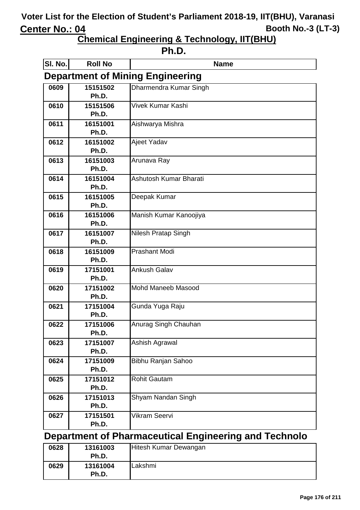**Chemical Engineering & Technology, IIT(BHU)**

| ı<br>ı |
|--------|
|--------|

| SI. No.                                 | <b>Roll No</b>    | <b>Name</b>               |  |
|-----------------------------------------|-------------------|---------------------------|--|
| <b>Department of Mining Engineering</b> |                   |                           |  |
| 0609                                    | 15151502          | Dharmendra Kumar Singh    |  |
|                                         | Ph.D.             |                           |  |
| 0610                                    | 15151506          | Vivek Kumar Kashi         |  |
|                                         | Ph.D.             |                           |  |
| 0611                                    | 16151001          | Aishwarya Mishra          |  |
|                                         | Ph.D.             |                           |  |
| 0612                                    | 16151002          | Ajeet Yadav               |  |
|                                         | Ph.D.             |                           |  |
| 0613                                    | 16151003          | Arunava Ray               |  |
|                                         | Ph.D.             |                           |  |
| 0614                                    | 16151004          | Ashutosh Kumar Bharati    |  |
|                                         | Ph.D.             |                           |  |
| 0615                                    | 16151005          | Deepak Kumar              |  |
|                                         | Ph.D.             |                           |  |
| 0616                                    | 16151006<br>Ph.D. | Manish Kumar Kanoojiya    |  |
|                                         | 16151007          |                           |  |
| 0617                                    | Ph.D.             | Nilesh Pratap Singh       |  |
| 0618                                    | 16151009          | <b>Prashant Modi</b>      |  |
|                                         | Ph.D.             |                           |  |
| 0619                                    | 17151001          | <b>Ankush Galav</b>       |  |
|                                         | Ph.D.             |                           |  |
| 0620                                    | 17151002          | <b>Mohd Maneeb Masood</b> |  |
|                                         | Ph.D.             |                           |  |
| 0621                                    | 17151004          | Gunda Yuga Raju           |  |
|                                         | Ph.D.             |                           |  |
| 0622                                    | 17151006          | Anurag Singh Chauhan      |  |
|                                         | Ph.D.             |                           |  |
| 0623                                    | 17151007          | Ashish Agrawal            |  |
|                                         | Ph.D.             |                           |  |
| 0624                                    | 17151009          | Bibhu Ranjan Sahoo        |  |
|                                         | Ph.D.             |                           |  |
| 0625                                    | 17151012          | <b>Rohit Gautam</b>       |  |
|                                         | Ph.D.             |                           |  |
| 0626                                    | 17151013          | Shyam Nandan Singh        |  |
|                                         | Ph.D.             |                           |  |
| 0627                                    | 17151501          | Vikram Seervi             |  |
|                                         | Ph.D.             |                           |  |

#### **Department of Pharmaceutical Engineering and Technolo**

| 0628 | 13161003<br>Ph.D. | Hitesh Kumar Dewangan |
|------|-------------------|-----------------------|
| 0629 | 13161004<br>Ph.D. | Lakshmi               |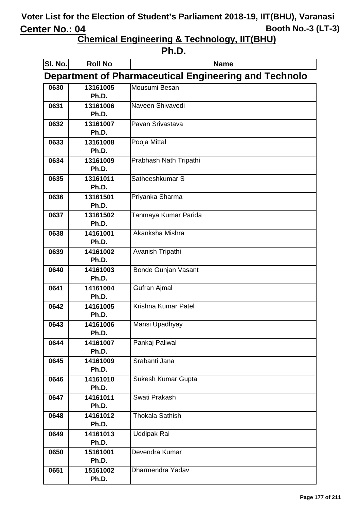| . .<br>ш |
|----------|
|----------|

| SI. No.                                                      | <b>Roll No</b>    | <b>Name</b>                |  |
|--------------------------------------------------------------|-------------------|----------------------------|--|
| <b>Department of Pharmaceutical Engineering and Technolo</b> |                   |                            |  |
| 0630                                                         | 13161005          | Mousumi Besan              |  |
|                                                              | Ph.D.             |                            |  |
| 0631                                                         | 13161006          | Naveen Shivavedi           |  |
|                                                              | Ph.D.             |                            |  |
| 0632                                                         | 13161007          | Pavan Srivastava           |  |
|                                                              | Ph.D.             |                            |  |
| 0633                                                         | 13161008          | Pooja Mittal               |  |
|                                                              | Ph.D.             |                            |  |
| 0634                                                         | 13161009<br>Ph.D. | Prabhash Nath Tripathi     |  |
| 0635                                                         | 13161011          | Satheeshkumar S            |  |
|                                                              | Ph.D.             |                            |  |
| 0636                                                         | 13161501          | Priyanka Sharma            |  |
|                                                              | Ph.D.             |                            |  |
| 0637                                                         | 13161502          | Tanmaya Kumar Parida       |  |
|                                                              | Ph.D.             |                            |  |
| 0638                                                         | 14161001          | Akanksha Mishra            |  |
|                                                              | Ph.D.             |                            |  |
| 0639                                                         | 14161002          | Avanish Tripathi           |  |
|                                                              | Ph.D.             |                            |  |
| 0640                                                         | 14161003          | <b>Bonde Gunjan Vasant</b> |  |
|                                                              | Ph.D.             |                            |  |
| 0641                                                         | 14161004          | <b>Gufran Ajmal</b>        |  |
|                                                              | Ph.D.             |                            |  |
| 0642                                                         | 14161005<br>Ph.D. | Krishna Kumar Patel        |  |
| 0643                                                         | 14161006          | Mansi Upadhyay             |  |
|                                                              | Ph.D.             |                            |  |
| 0644                                                         | 14161007          | Pankaj Paliwal             |  |
|                                                              | Ph.D.             |                            |  |
| 0645                                                         | 14161009          | Srabanti Jana              |  |
|                                                              | Ph.D.             |                            |  |
| 0646                                                         | 14161010          | Sukesh Kumar Gupta         |  |
|                                                              | Ph.D.             |                            |  |
| 0647                                                         | 14161011          | Swati Prakash              |  |
|                                                              | Ph.D.             |                            |  |
| 0648                                                         | 14161012          | <b>Thokala Sathish</b>     |  |
|                                                              | Ph.D.             |                            |  |
| 0649                                                         | 14161013          | <b>Uddipak Rai</b>         |  |
|                                                              | Ph.D.             |                            |  |
| 0650                                                         | 15161001<br>Ph.D. | Devendra Kumar             |  |
| 0651                                                         | 15161002          | Dharmendra Yadav           |  |
|                                                              | Ph.D.             |                            |  |
|                                                              |                   |                            |  |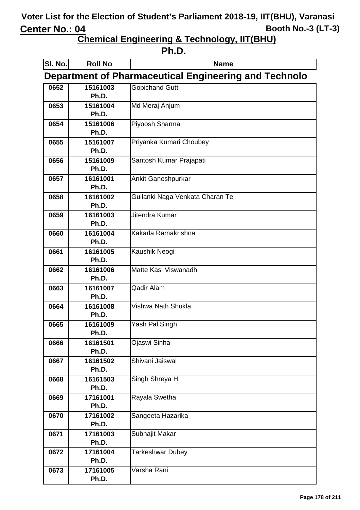| . . |
|-----|
|-----|

| SI. No. | <b>Roll No</b>    | <b>Name</b>                                                  |
|---------|-------------------|--------------------------------------------------------------|
|         |                   | <b>Department of Pharmaceutical Engineering and Technolo</b> |
| 0652    | 15161003          | <b>Gopichand Gutti</b>                                       |
|         | Ph.D.             |                                                              |
| 0653    | 15161004          | Md Meraj Anjum                                               |
|         | Ph.D.             |                                                              |
| 0654    | 15161006          | Piyoosh Sharma                                               |
|         | Ph.D.             |                                                              |
| 0655    | 15161007          | Priyanka Kumari Choubey                                      |
|         | Ph.D.             |                                                              |
| 0656    | 15161009          | Santosh Kumar Prajapati                                      |
|         | Ph.D.             |                                                              |
| 0657    | 16161001<br>Ph.D. | <b>Ankit Ganeshpurkar</b>                                    |
| 0658    | 16161002          | Gullanki Naga Venkata Charan Tej                             |
|         | Ph.D.             |                                                              |
| 0659    | 16161003          | Jitendra Kumar                                               |
|         | Ph.D.             |                                                              |
| 0660    | 16161004          | Kakarla Ramakrishna                                          |
|         | Ph.D.             |                                                              |
| 0661    | 16161005          | Kaushik Neogi                                                |
|         | Ph.D.             |                                                              |
| 0662    | 16161006          | Matte Kasi Viswanadh                                         |
|         | Ph.D.             |                                                              |
| 0663    | 16161007          | Qadir Alam                                                   |
|         | Ph.D.             |                                                              |
| 0664    | 16161008          | Vishwa Nath Shukla                                           |
|         | Ph.D.             |                                                              |
| 0665    | 16161009<br>Ph.D. | Yash Pal Singh                                               |
| 0666    | 16161501          | Ojaswi Sinha                                                 |
|         | Ph.D.             |                                                              |
| 0667    | 16161502          | Shivani Jaiswal                                              |
|         | Ph.D.             |                                                              |
| 0668    | 16161503          | Singh Shreya H                                               |
|         | Ph.D.             |                                                              |
| 0669    | 17161001          | Rayala Swetha                                                |
|         | Ph.D.             |                                                              |
| 0670    | 17161002          | Sangeeta Hazarika                                            |
|         | Ph.D.             |                                                              |
| 0671    | 17161003          | Subhajit Makar                                               |
|         | Ph.D.             |                                                              |
| 0672    | 17161004          | <b>Tarkeshwar Dubey</b>                                      |
|         | Ph.D.             |                                                              |
| 0673    | 17161005          | Varsha Rani                                                  |
|         | Ph.D.             |                                                              |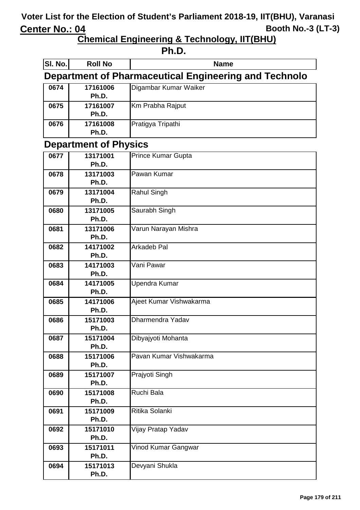| . .<br>٠ |
|----------|
|----------|

| SI. No.                      | <b>Roll No</b>    | <b>Name</b>                                           |
|------------------------------|-------------------|-------------------------------------------------------|
|                              |                   | Department of Pharmaceutical Engineering and Technolo |
| 0674                         | 17161006<br>Ph.D. | Digambar Kumar Waiker                                 |
| 0675                         | 17161007<br>Ph.D. | Km Prabha Rajput                                      |
| 0676                         | 17161008<br>Ph.D. | Pratigya Tripathi                                     |
| <b>Department of Physics</b> |                   |                                                       |
| 0677                         | 13171001          | Prince Kumar Gupta                                    |
|                              | Ph.D.             |                                                       |
| 0678                         | 13171003          | Pawan Kumar                                           |
|                              | Ph.D.             |                                                       |
| 0679                         | 13171004<br>Ph.D. | <b>Rahul Singh</b>                                    |
| 0680                         | 13171005          | Saurabh Singh                                         |
|                              | Ph.D.             |                                                       |
| 0681                         | 13171006          | Varun Narayan Mishra                                  |
|                              | Ph.D.             |                                                       |
| 0682                         | 14171002<br>Ph.D. | Arkadeb Pal                                           |
| 0683                         | 14171003          | Vani Pawar                                            |
|                              | Ph.D.             |                                                       |
| 0684                         | 14171005          | <b>Upendra Kumar</b>                                  |
|                              | Ph.D.             |                                                       |
| 0685                         | 14171006<br>Ph.D. | Ajeet Kumar Vishwakarma                               |
| 0686                         | 15171003          | Dharmendra Yadav                                      |
|                              | Ph.D.             |                                                       |
| 0687                         | 15171004          | Dibyajyoti Mohanta                                    |
|                              | Ph.D.             |                                                       |
| 0688                         | 15171006<br>Ph.D. | Pavan Kumar Vishwakarma                               |
| 0689                         | 15171007          | Prajyoti Singh                                        |
|                              | Ph.D.             |                                                       |
| 0690                         | 15171008          | Ruchi Bala                                            |
|                              | Ph.D.             |                                                       |
| 0691                         | 15171009          | Ritika Solanki                                        |
|                              | Ph.D.             |                                                       |
| 0692                         | 15171010<br>Ph.D. | Vijay Pratap Yadav                                    |
| 0693                         | 15171011          | Vinod Kumar Gangwar                                   |
|                              | Ph.D.             |                                                       |
| 0694                         | 15171013          | Devyani Shukla                                        |
|                              | Ph.D.             |                                                       |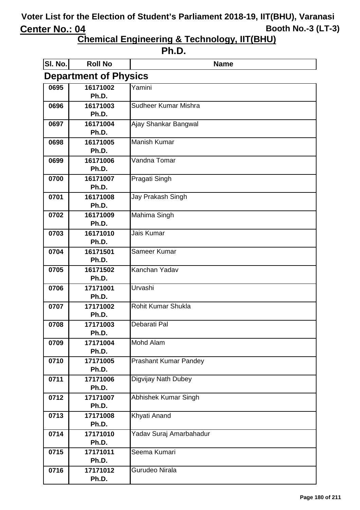| ı<br>ı |
|--------|
|--------|

| SI. No.                      | <b>Roll No</b>    | <b>Name</b>                  |
|------------------------------|-------------------|------------------------------|
| <b>Department of Physics</b> |                   |                              |
| 0695                         | 16171002          | Yamini                       |
|                              | Ph.D.             |                              |
| 0696                         | 16171003          | Sudheer Kumar Mishra         |
|                              | Ph.D.             |                              |
| 0697                         | 16171004          | Ajay Shankar Bangwal         |
|                              | Ph.D.             |                              |
| 0698                         | 16171005          | <b>Manish Kumar</b>          |
|                              | Ph.D.             |                              |
| 0699                         | 16171006<br>Ph.D. | Vandna Tomar                 |
| 0700                         | 16171007          | Pragati Singh                |
|                              | Ph.D.             |                              |
| 0701                         | 16171008          | Jay Prakash Singh            |
|                              | Ph.D.             |                              |
| 0702                         | 16171009          | Mahima Singh                 |
|                              | Ph.D.             |                              |
| 0703                         | 16171010          | Jais Kumar                   |
|                              | Ph.D.             |                              |
| 0704                         | 16171501          | Sameer Kumar                 |
|                              | Ph.D.             |                              |
| 0705                         | 16171502          | Kanchan Yadav                |
|                              | Ph.D.             |                              |
| 0706                         | 17171001          | Urvashi                      |
|                              | Ph.D.             | <b>Rohit Kumar Shukla</b>    |
| 0707                         | 17171002<br>Ph.D. |                              |
| 0708                         | 17171003          | Debarati Pal                 |
|                              | Ph.D.             |                              |
| 0709                         | 17171004          | Mohd Alam                    |
|                              | Ph.D.             |                              |
| 0710                         | 17171005          | <b>Prashant Kumar Pandey</b> |
|                              | Ph.D.             |                              |
| 0711                         | 17171006          | Digvijay Nath Dubey          |
|                              | Ph.D.             |                              |
| 0712                         | 17171007          | Abhishek Kumar Singh         |
|                              | Ph.D.             |                              |
| 0713                         | 17171008          | Khyati Anand                 |
|                              | Ph.D.             |                              |
| 0714                         | 17171010          | Yadav Suraj Amarbahadur      |
|                              | Ph.D.             |                              |
| 0715                         | 17171011          | Seema Kumari                 |
|                              | Ph.D.             |                              |
| 0716                         | 17171012<br>Ph.D. | Gurudeo Nirala               |
|                              |                   |                              |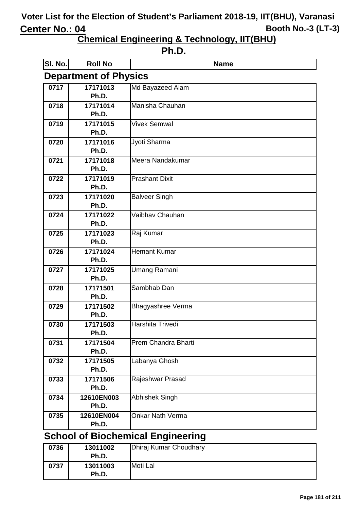**Chemical Engineering & Technology, IIT(BHU)**

| ı<br>л<br>٧ |
|-------------|
|-------------|

| <b>SI. No.</b> | <b>Roll No</b>               | <b>Name</b>                           |  |  |
|----------------|------------------------------|---------------------------------------|--|--|
|                | <b>Department of Physics</b> |                                       |  |  |
| 0717           | 17171013                     | Md Bayazeed Alam                      |  |  |
|                | Ph.D.                        |                                       |  |  |
| 0718           | 17171014                     | Manisha Chauhan                       |  |  |
|                | Ph.D.                        |                                       |  |  |
| 0719           | 17171015                     | <b>Vivek Semwal</b>                   |  |  |
|                | Ph.D.                        |                                       |  |  |
| 0720           | 17171016                     | Jyoti Sharma                          |  |  |
|                | Ph.D.                        |                                       |  |  |
| 0721           | 17171018                     | Meera Nandakumar                      |  |  |
|                | Ph.D.                        |                                       |  |  |
| 0722           | 17171019                     | <b>Prashant Dixit</b>                 |  |  |
|                | Ph.D.                        |                                       |  |  |
| 0723           | 17171020                     | <b>Balveer Singh</b>                  |  |  |
|                | Ph.D.                        |                                       |  |  |
| 0724           | 17171022                     | Vaibhav Chauhan                       |  |  |
|                | Ph.D.                        |                                       |  |  |
| 0725           | 17171023                     | Raj Kumar                             |  |  |
|                | Ph.D.                        |                                       |  |  |
| 0726           | 17171024                     | <b>Hemant Kumar</b>                   |  |  |
|                | Ph.D.                        |                                       |  |  |
| 0727           | 17171025                     | <b>Umang Ramani</b>                   |  |  |
|                | Ph.D.                        |                                       |  |  |
| 0728           | 17171501                     | Sambhab Dan                           |  |  |
|                | Ph.D.                        |                                       |  |  |
| 0729           | 17171502                     | Bhagyashree Verma                     |  |  |
|                | Ph.D.                        |                                       |  |  |
| 0730           | 17171503                     | Harshita Trivedi                      |  |  |
|                | Ph.D.                        |                                       |  |  |
| 0731           | 17171504                     | Prem Chandra Bharti                   |  |  |
|                | Ph.D.                        |                                       |  |  |
| 0732           | 17171505                     | Labanya Ghosh                         |  |  |
|                | Ph.D.                        |                                       |  |  |
| 0733           | 17171506<br>Ph.D.            | Rajeshwar Prasad                      |  |  |
|                |                              |                                       |  |  |
| 0734           | 12610EN003<br>Ph.D.          | <b>Abhishek Singh</b>                 |  |  |
|                |                              |                                       |  |  |
| 0735           | 12610EN004                   | <b>Onkar Nath Verma</b>               |  |  |
|                | Ph.D.<br>$1 \nightharpoonup$ | $\mathbf{S}$ and $\mathbf{F}$ is also |  |  |

**School of Biochemical Engineering**

| 0736 | 13011002<br>Ph.D. | Dhiraj Kumar Choudhary |
|------|-------------------|------------------------|
| 0737 | 13011003<br>Ph.D. | Moti Lal               |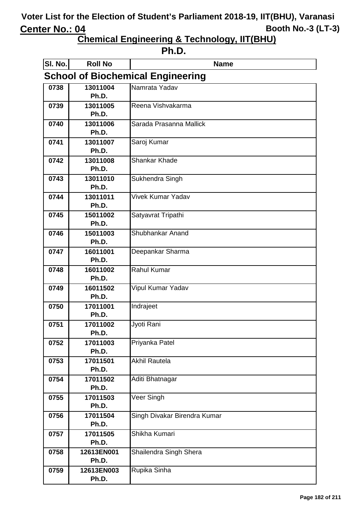| ιг<br>٠<br>ı<br>ı |
|-------------------|
|-------------------|

| SI. No.                                  | <b>Roll No</b>      | <b>Name</b>                  |  |
|------------------------------------------|---------------------|------------------------------|--|
| <b>School of Biochemical Engineering</b> |                     |                              |  |
| 0738                                     | 13011004            | Namrata Yadav                |  |
|                                          | Ph.D.               |                              |  |
| 0739                                     | 13011005            | Reena Vishvakarma            |  |
| 0740                                     | Ph.D.<br>13011006   | Sarada Prasanna Mallick      |  |
|                                          | Ph.D.               |                              |  |
| 0741                                     | 13011007            | Saroj Kumar                  |  |
|                                          | Ph.D.               |                              |  |
| 0742                                     | 13011008            | <b>Shankar Khade</b>         |  |
|                                          | Ph.D.               |                              |  |
| 0743                                     | 13011010            | Sukhendra Singh              |  |
|                                          | Ph.D.               |                              |  |
| 0744                                     | 13011011<br>Ph.D.   | <b>Vivek Kumar Yadav</b>     |  |
| 0745                                     | 15011002            | Satyavrat Tripathi           |  |
|                                          | Ph.D.               |                              |  |
| 0746                                     | 15011003            | Shubhankar Anand             |  |
|                                          | Ph.D.               |                              |  |
| 0747                                     | 16011001            | Deepankar Sharma             |  |
|                                          | Ph.D.               |                              |  |
| 0748                                     | 16011002            | <b>Rahul Kumar</b>           |  |
|                                          | Ph.D.               |                              |  |
| 0749                                     | 16011502<br>Ph.D.   | Vipul Kumar Yadav            |  |
| 0750                                     | 17011001            | Indrajeet                    |  |
|                                          | Ph.D.               |                              |  |
| 0751                                     | 17011002            | Jyoti Rani                   |  |
|                                          | Ph.D.               |                              |  |
| 0752                                     | 17011003            | Priyanka Patel               |  |
|                                          | Ph.D.               |                              |  |
| 0753                                     | 17011501<br>Ph.D.   | <b>Akhil Rautela</b>         |  |
| 0754                                     | 17011502            | Aditi Bhatnagar              |  |
|                                          | Ph.D.               |                              |  |
| 0755                                     | 17011503            | Veer Singh                   |  |
|                                          | Ph.D.               |                              |  |
| 0756                                     | 17011504            | Singh Divakar Birendra Kumar |  |
|                                          | Ph.D.               |                              |  |
| 0757                                     | 17011505            | Shikha Kumari                |  |
|                                          | Ph.D.               |                              |  |
| 0758                                     | 12613EN001<br>Ph.D. | Shailendra Singh Shera       |  |
| 0759                                     | 12613EN003          | Rupika Sinha                 |  |
|                                          | Ph.D.               |                              |  |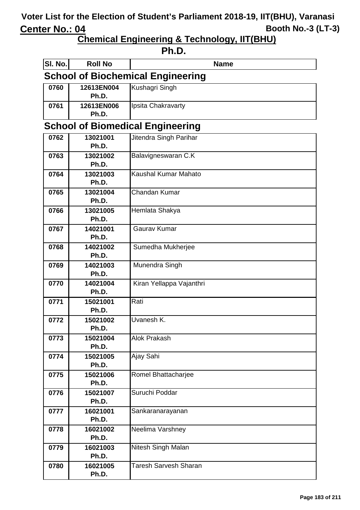**Chemical Engineering & Technology, IIT(BHU)**

#### **Ph.D.**

| SI. No.                                  | <b>Roll No</b>                          | <b>Name</b>                  |  |
|------------------------------------------|-----------------------------------------|------------------------------|--|
| <b>School of Biochemical Engineering</b> |                                         |                              |  |
| 0760                                     | 12613EN004<br>Ph.D.                     | Kushagri Singh               |  |
| 0761                                     | 12613EN006<br>Ph.D.                     | Ipsita Chakravarty           |  |
|                                          | <b>School of Biomedical Engineering</b> |                              |  |
| 0762                                     | 13021001                                | Jitendra Singh Parihar       |  |
|                                          | Ph.D.                                   |                              |  |
| 0763                                     | 13021002                                | Balavigneswaran C.K          |  |
|                                          | Ph.D.                                   |                              |  |
| 0764                                     | 13021003                                | Kaushal Kumar Mahato         |  |
|                                          | Ph.D.                                   |                              |  |
| 0765                                     | 13021004                                | Chandan Kumar                |  |
|                                          | Ph.D.                                   |                              |  |
| 0766                                     | 13021005<br>Ph.D.                       | Hemlata Shakya               |  |
| 0767                                     | 14021001                                | Gaurav Kumar                 |  |
|                                          | Ph.D.                                   |                              |  |
| 0768                                     | 14021002                                | Sumedha Mukherjee            |  |
|                                          | Ph.D.                                   |                              |  |
| 0769                                     | 14021003                                | Munendra Singh               |  |
|                                          | Ph.D.                                   |                              |  |
| 0770                                     | 14021004                                | Kiran Yellappa Vajanthri     |  |
|                                          | Ph.D.                                   |                              |  |
| 0771                                     | 15021001                                | Rati                         |  |
|                                          | Ph.D.                                   |                              |  |
| 0772                                     | 15021002                                | Uvanesh K.                   |  |
|                                          | Ph.D.                                   |                              |  |
| 0773                                     | 15021004                                | Alok Prakash                 |  |
|                                          | Ph.D.                                   |                              |  |
| 0774                                     | 15021005<br>Ph.D.                       | Ajay Sahi                    |  |
| 0775                                     | 15021006                                | Romel Bhattacharjee          |  |
|                                          | Ph.D.                                   |                              |  |
| 0776                                     | 15021007                                | Suruchi Poddar               |  |
|                                          | Ph.D.                                   |                              |  |
| 0777                                     | 16021001                                | Sankaranarayanan             |  |
|                                          | Ph.D.                                   |                              |  |
| 0778                                     | 16021002                                | Neelima Varshney             |  |
|                                          | Ph.D.                                   |                              |  |
| 0779                                     | 16021003                                | Nitesh Singh Malan           |  |
|                                          | Ph.D.                                   |                              |  |
| 0780                                     | 16021005                                | <b>Taresh Sarvesh Sharan</b> |  |
|                                          | Ph.D.                                   |                              |  |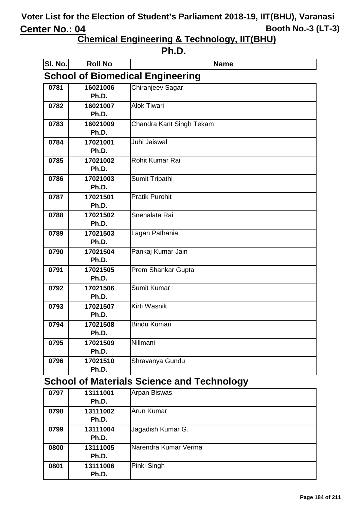**Chemical Engineering & Technology, IIT(BHU)**

| ı<br>L<br>п<br>ı |  |
|------------------|--|
|------------------|--|

| SI. No. | <b>Roll No</b> | <b>Name</b>                             |
|---------|----------------|-----------------------------------------|
|         |                | <b>School of Biomedical Engineering</b> |
| 0781    | 16021006       | Chiranjeev Sagar                        |
|         | Ph.D.          |                                         |
| 0782    | 16021007       | <b>Alok Tiwari</b>                      |
|         | Ph.D.          |                                         |
| 0783    | 16021009       | Chandra Kant Singh Tekam                |
|         | Ph.D.          |                                         |
| 0784    | 17021001       | Juhi Jaiswal                            |
|         | Ph.D.          |                                         |
| 0785    | 17021002       | Rohit Kumar Rai                         |
|         | Ph.D.          |                                         |
| 0786    | 17021003       | Sumit Tripathi                          |
|         | Ph.D.          |                                         |
| 0787    | 17021501       | <b>Pratik Purohit</b>                   |
|         | Ph.D.          |                                         |
| 0788    | 17021502       | Snehalata Rai                           |
|         | Ph.D.          |                                         |
| 0789    | 17021503       | Lagan Pathania                          |
|         | Ph.D.          |                                         |
| 0790    | 17021504       | Pankaj Kumar Jain                       |
|         | Ph.D.          |                                         |
| 0791    | 17021505       | Prem Shankar Gupta                      |
|         | Ph.D.          |                                         |
| 0792    | 17021506       | <b>Sumit Kumar</b>                      |
|         | Ph.D.          |                                         |
| 0793    | 17021507       | Kirti Wasnik                            |
|         | Ph.D.          |                                         |
| 0794    | 17021508       | <b>Bindu Kumari</b>                     |
|         | Ph.D.          |                                         |
| 0795    | 17021509       | Nillmani                                |
|         | Ph.D.          |                                         |
| 0796    | 17021510       | Shravanya Gundu                         |
|         | Ph.D.          |                                         |

# **School of Materials Science and Technology**

| 0797 | 13111001 | <b>Arpan Biswas</b>  |
|------|----------|----------------------|
|      | Ph.D.    |                      |
| 0798 | 13111002 | Arun Kumar           |
|      | Ph.D.    |                      |
| 0799 | 13111004 | Jagadish Kumar G.    |
|      | Ph.D.    |                      |
| 0800 | 13111005 | Narendra Kumar Verma |
|      | Ph.D.    |                      |
| 0801 | 13111006 | Pinki Singh          |
|      | Ph.D.    |                      |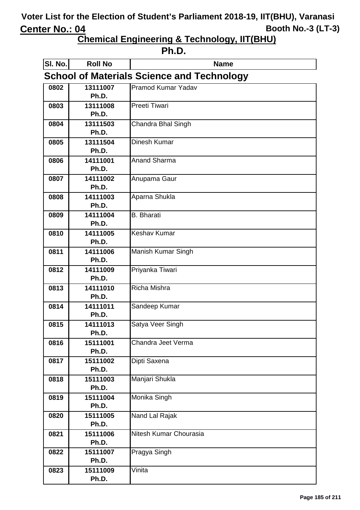**Chemical Engineering & Technology, IIT(BHU)**

**Ph.D.**

| SI. No.                                           | <b>Roll No</b>    | <b>Name</b>               |
|---------------------------------------------------|-------------------|---------------------------|
| <b>School of Materials Science and Technology</b> |                   |                           |
| 0802                                              | 13111007          | <b>Pramod Kumar Yadav</b> |
|                                                   | Ph.D.             |                           |
| 0803                                              | 13111008          | <b>Preeti Tiwari</b>      |
|                                                   | Ph.D.             |                           |
| 0804                                              | 13111503          | Chandra Bhal Singh        |
|                                                   | Ph.D.             |                           |
| 0805                                              | 13111504          | <b>Dinesh Kumar</b>       |
|                                                   | Ph.D.             |                           |
| 0806                                              | 14111001          | <b>Anand Sharma</b>       |
|                                                   | Ph.D.             |                           |
| 0807                                              | 14111002<br>Ph.D. | Anupama Gaur              |
|                                                   |                   |                           |
| 0808                                              | 14111003<br>Ph.D. | Aparna Shukla             |
| 0809                                              | 14111004          | <b>B.</b> Bharati         |
|                                                   | Ph.D.             |                           |
| 0810                                              | 14111005          | <b>Keshav Kumar</b>       |
|                                                   | Ph.D.             |                           |
| 0811                                              | 14111006          | Manish Kumar Singh        |
|                                                   | Ph.D.             |                           |
| 0812                                              | 14111009          | Priyanka Tiwari           |
|                                                   | Ph.D.             |                           |
| 0813                                              | 14111010          | <b>Richa Mishra</b>       |
|                                                   | Ph.D.             |                           |
| 0814                                              | 14111011          | Sandeep Kumar             |
|                                                   | Ph.D.             |                           |
| 0815                                              | 14111013          | Satya Veer Singh          |
|                                                   | Ph.D.             |                           |
| 0816                                              | 15111001          | Chandra Jeet Verma        |
|                                                   | Ph.D.             |                           |
| 0817                                              | 15111002          | Dipti Saxena              |
|                                                   | Ph.D.             |                           |
| 0818                                              | 15111003          | Manjari Shukla            |
|                                                   | Ph.D.             |                           |
| 0819                                              | 15111004          | Monika Singh              |
|                                                   | Ph.D.             |                           |
| 0820                                              | 15111005          | Nand Lal Rajak            |
|                                                   | Ph.D.             |                           |
| 0821                                              | 15111006<br>Ph.D. | Nitesh Kumar Chourasia    |
| 0822                                              | 15111007          | Pragya Singh              |
|                                                   | Ph.D.             |                           |
| 0823                                              | 15111009          | Vinita                    |
|                                                   | Ph.D.             |                           |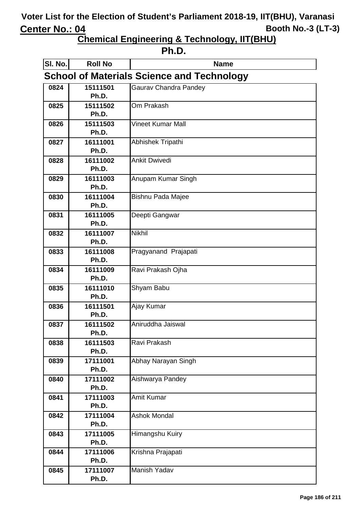**Chemical Engineering & Technology, IIT(BHU)**

**Ph.D.**

| SI. No.                                           | <b>Roll No</b>    | <b>Name</b>                  |
|---------------------------------------------------|-------------------|------------------------------|
| <b>School of Materials Science and Technology</b> |                   |                              |
| 0824                                              | 15111501          | <b>Gaurav Chandra Pandey</b> |
|                                                   | Ph.D.             |                              |
| 0825                                              | 15111502          | Om Prakash                   |
|                                                   | Ph.D.             |                              |
| 0826                                              | 15111503          | <b>Vineet Kumar Mall</b>     |
|                                                   | Ph.D.             |                              |
| 0827                                              | 16111001          | Abhishek Tripathi            |
|                                                   | Ph.D.             |                              |
| 0828                                              | 16111002          | <b>Ankit Dwivedi</b>         |
|                                                   | Ph.D.             |                              |
| 0829                                              | 16111003          | Anupam Kumar Singh           |
|                                                   | Ph.D.             |                              |
| 0830                                              | 16111004<br>Ph.D. | <b>Bishnu Pada Majee</b>     |
| 0831                                              | 16111005          |                              |
|                                                   | Ph.D.             | Deepti Gangwar               |
| 0832                                              | 16111007          | <b>Nikhil</b>                |
|                                                   | Ph.D.             |                              |
| 0833                                              | 16111008          | Pragyanand Prajapati         |
|                                                   | Ph.D.             |                              |
| 0834                                              | 16111009          | Ravi Prakash Ojha            |
|                                                   | Ph.D.             |                              |
| 0835                                              | 16111010          | Shyam Babu                   |
|                                                   | Ph.D.             |                              |
| 0836                                              | 16111501          | Ajay Kumar                   |
|                                                   | Ph.D.             |                              |
| 0837                                              | 16111502          | Aniruddha Jaiswal            |
|                                                   | Ph.D.             |                              |
| 0838                                              | 16111503          | Ravi Prakash                 |
|                                                   | Ph.D.             |                              |
| 0839                                              | 17111001          | Abhay Narayan Singh          |
|                                                   | Ph.D.             |                              |
| 0840                                              | 17111002          | Aishwarya Pandey             |
|                                                   | Ph.D.             |                              |
| 0841                                              | 17111003          | Amit Kumar                   |
|                                                   | Ph.D.             |                              |
| 0842                                              | 17111004          | <b>Ashok Mondal</b>          |
|                                                   | Ph.D.             |                              |
| 0843                                              | 17111005          | Himangshu Kuiry              |
|                                                   | Ph.D.             |                              |
| 0844                                              | 17111006          | Krishna Prajapati            |
|                                                   | Ph.D.             |                              |
| 0845                                              | 17111007          | Manish Yadav                 |
|                                                   | Ph.D.             |                              |